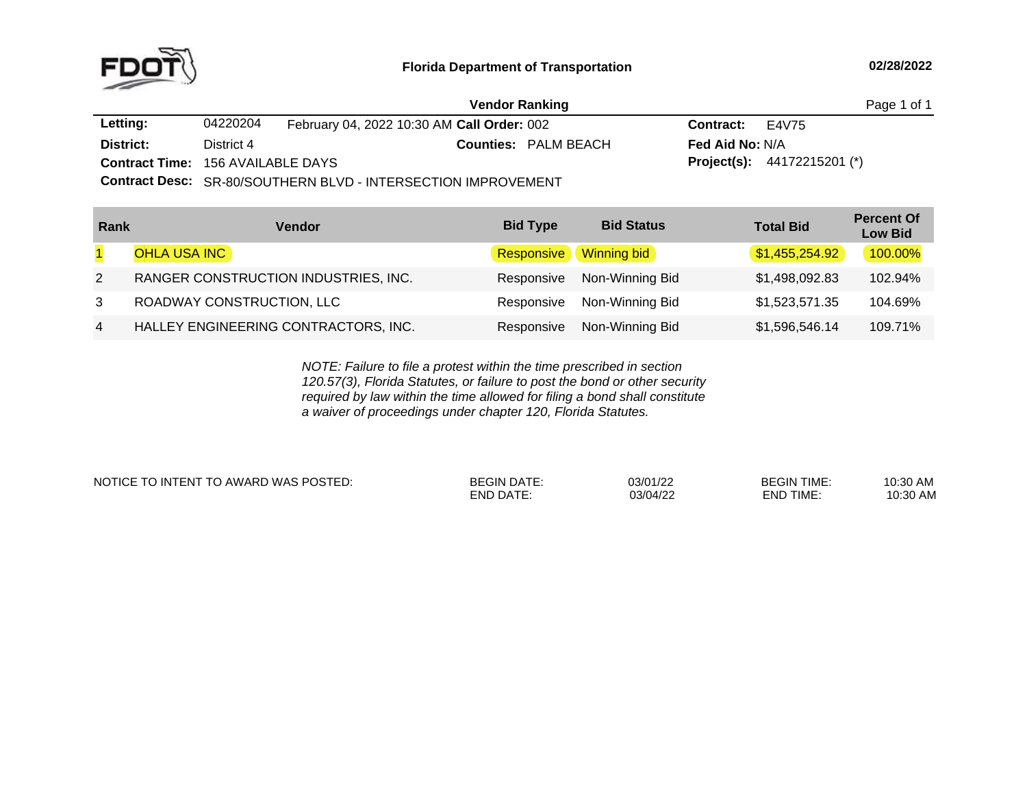

|                                          |            | <b>Vendor Ranking</b>                                       |                          | Page 1 of 1                          |  |
|------------------------------------------|------------|-------------------------------------------------------------|--------------------------|--------------------------------------|--|
| Letting:                                 | 04220204   | February 04, 2022 10:30 AM Call Order: 002                  | <b>Contract:</b> $E4V75$ |                                      |  |
| District:                                | District 4 | <b>Counties: PALM BEACH</b>                                 | <b>Fed Aid No: N/A</b>   |                                      |  |
| <b>Contract Time: 156 AVAILABLE DAYS</b> |            |                                                             |                          | <b>Project(s):</b> $44172215201$ (*) |  |
|                                          |            | Contract Dose: OD 00/COUTHEDNIBLUD INTERCECTION IMPROVEMENT |                          |                                      |  |

**Contract Desc:** SR-80/SOUTHERN BLVD - INTERSECTION IMPROVEMENT

| Rank           | Vendor                               | <b>Bid Type</b>   | <b>Bid Status</b>  | <b>Total Bid</b> | <b>Percent Of</b><br><b>Low Bid</b> |
|----------------|--------------------------------------|-------------------|--------------------|------------------|-------------------------------------|
|                | <b>OHLA USA INC</b>                  | <b>Responsive</b> | <b>Winning bid</b> | \$1,455,254.92   | 100.00%                             |
| 2              | RANGER CONSTRUCTION INDUSTRIES, INC. | Responsive        | Non-Winning Bid    | \$1,498,092.83   | 102.94%                             |
| 3              | ROADWAY CONSTRUCTION, LLC            | Responsive        | Non-Winning Bid    | \$1,523,571.35   | 104.69%                             |
| $\overline{4}$ | HALLEY ENGINEERING CONTRACTORS, INC. | Responsive        | Non-Winning Bid    | \$1,596,546.14   | 109.71%                             |

*NOTE: Failure to file <sup>a</sup> protest within the time prescribed in section 120.57(3), Florida Statutes, or failure to post the bond or other security required by law within the time allowed for filing <sup>a</sup> bond shall constitute a waiver of proceedings under chapter 120, Florida Statutes.*

NOTICE TO INTENT TO AWARD WAS POSTED: BEGIN DATE: 03/01/22 BEGIN TIME: 10:30 AM

END DATE: 03/04/22 END TIME:

10:30 AM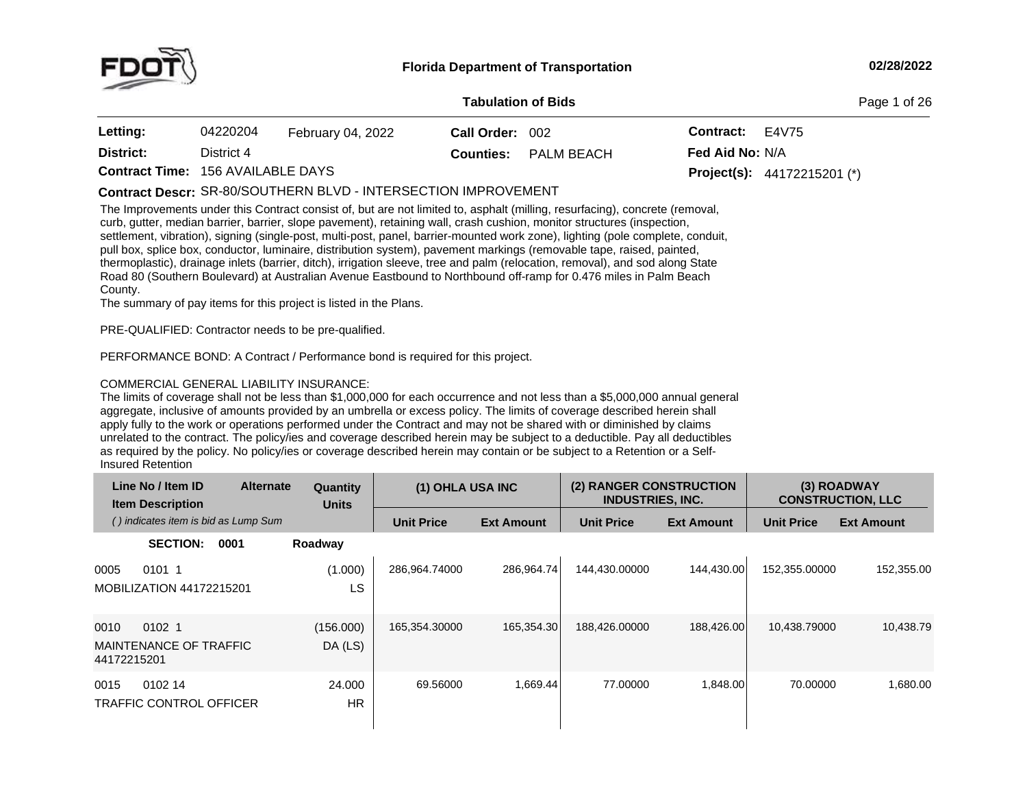

#### **Tabulation**

**of Bids** Page <sup>1</sup> of <sup>26</sup>

| Letting:                                 | 04220204   | February 04, 2022 | Call Order: 002 |                             | <b>Contract:</b> $E4V75$ |                                      |
|------------------------------------------|------------|-------------------|-----------------|-----------------------------|--------------------------|--------------------------------------|
| District:                                | District 4 |                   |                 | <b>Counties:</b> PALM BEACH | <b>Fed Aid No: N/A</b>   |                                      |
| <b>Contract Time: 156 AVAILABLE DAYS</b> |            |                   |                 |                             |                          | <b>Project(s):</b> $44172215201$ (*) |

 $\blacksquare$ Contract Descr: SR-80/SOUTHERN BLVD - INTERSECTION IMPROVEMENT

The Improvements under this Contract consist of, but are not limited to, asphalt (milling, resurfacing), concrete (removal, curb, gutter, median barrier, barrier, slope pavement), retaining wall, crash cushion, monitor structures (inspection, settlement, vibration), signing (single-post, multi-post, panel, barrier-mounted work zone), lighting (pole complete, conduit, pull box, splice box, conductor, luminaire, distribution system), pavement markings (removable tape, raised, painted, thermoplastic), drainage inlets (barrier, ditch), irrigation sleeve, tree and palm (relocation, removal), and sod along State<br>Boad 80 (Southern Boulevard) at Australian Avenue Easthound to Northbound off ramp for 0.476 mil Road 80 (Southern Boulevard) at Australian Avenue Eastbound to Northbound off-ramp for 0.476 miles in Palm Beach<br>County County.

The summary of pay items for this project is listed in the Plans.

PRE-QUALIFIED: Contractor needs to be pre-qualified.

PERFORMANCE BOND: <sup>A</sup> Contract / Performance bond is required for this project.

# COMMERCIAL GENERAL LIABILITY INSURANCE:

The limits of coverage shall not be less than \$1,000,000 for each occurrence and not less than <sup>a</sup> \$5,000,000 annual general aggregate, inclusive of amounts provided by an umbrella or excess policy. The limits of coverage described herein shall apply fully to the work or operations performed under the Contract and may not be shared with or diminished by claims unrelated to the contract. The policy/ies and coverage described herein may be subject to <sup>a</sup> deductible. Pay all deductibles as required by the policy. No policy/ies or coverage described herein may contain or be subject to a Retention or a Self-<br>Insured Retention **Insured Retention** 

| Line No / Item ID<br><b>Item Description</b>                       | <b>Alternate</b> | Quantity<br><b>Units</b> | (1) OHLA USA INC  |                   | (2) RANGER CONSTRUCTION<br><b>INDUSTRIES, INC.</b> |                   |                   | (3) ROADWAY<br><b>CONSTRUCTION, LLC</b> |
|--------------------------------------------------------------------|------------------|--------------------------|-------------------|-------------------|----------------------------------------------------|-------------------|-------------------|-----------------------------------------|
| () indicates item is bid as Lump Sum                               |                  |                          | <b>Unit Price</b> | <b>Ext Amount</b> | <b>Unit Price</b>                                  | <b>Ext Amount</b> | <b>Unit Price</b> | <b>Ext Amount</b>                       |
| <b>SECTION:</b><br>0001                                            | Roadway          |                          |                   |                   |                                                    |                   |                   |                                         |
| 0101 1<br>0005<br><b>MOBILIZATION 44172215201</b>                  |                  | (1.000)<br>LS            | 286.964.74000     | 286.964.74        | 144,430.00000                                      | 144,430.00        | 152,355.00000     | 152,355.00                              |
| 0010<br>0102 <sub>1</sub><br>MAINTENANCE OF TRAFFIC<br>44172215201 |                  | (156.000)<br>DA (LS)     | 165,354.30000     | 165,354.30        | 188,426.00000                                      | 188,426.00        | 10.438.79000      | 10,438.79                               |
| 0102 14<br>0015<br><b>TRAFFIC CONTROL OFFICER</b>                  |                  | 24.000<br><b>HR</b>      | 69.56000          | 1,669.44          | 77,00000                                           | 1,848.00          | 70.00000          | 1,680.00                                |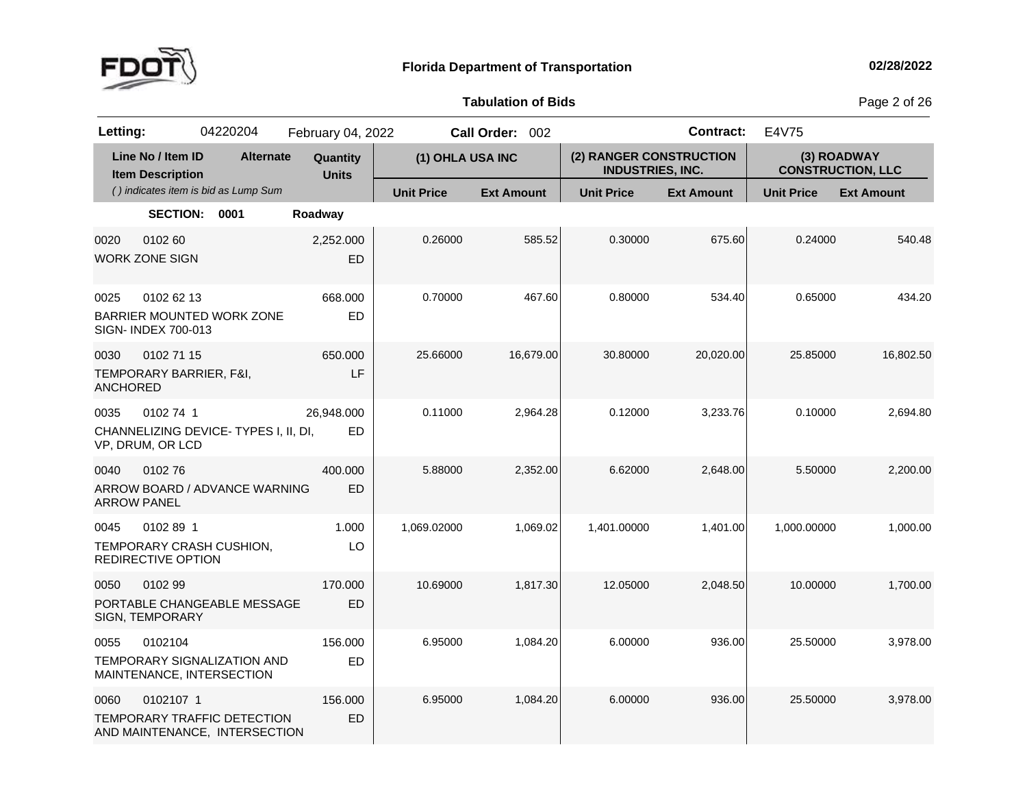

**of Bids** Page <sup>2</sup> of <sup>26</sup>

| Letting:                   |                                              | 04220204                                                     | February 04, 2022        |                   | Call Order: 002   |                                                    | <b>Contract:</b>  | E4V75             |                                         |
|----------------------------|----------------------------------------------|--------------------------------------------------------------|--------------------------|-------------------|-------------------|----------------------------------------------------|-------------------|-------------------|-----------------------------------------|
|                            | Line No / Item ID<br><b>Item Description</b> | <b>Alternate</b>                                             | Quantity<br><b>Units</b> | (1) OHLA USA INC  |                   | (2) RANGER CONSTRUCTION<br><b>INDUSTRIES, INC.</b> |                   |                   | (3) ROADWAY<br><b>CONSTRUCTION, LLC</b> |
|                            |                                              | () indicates item is bid as Lump Sum                         |                          | <b>Unit Price</b> | <b>Ext Amount</b> | <b>Unit Price</b>                                  | <b>Ext Amount</b> | <b>Unit Price</b> | <b>Ext Amount</b>                       |
|                            | <b>SECTION:</b>                              | 0001                                                         | Roadway                  |                   |                   |                                                    |                   |                   |                                         |
| 0020                       | 0102 60<br><b>WORK ZONE SIGN</b>             |                                                              | 2,252.000<br><b>ED</b>   | 0.26000           | 585.52            | 0.30000                                            | 675.60            | 0.24000           | 540.48                                  |
| 0025                       | 0102 62 13<br>SIGN- INDEX 700-013            | BARRIER MOUNTED WORK ZONE                                    | 668.000<br>ED            | 0.70000           | 467.60            | 0.80000                                            | 534.40            | 0.65000           | 434.20                                  |
| 0030<br><b>ANCHORED</b>    | 0102 71 15<br>TEMPORARY BARRIER, F&I,        |                                                              | 650,000<br>LF            | 25.66000          | 16,679.00         | 30.80000                                           | 20,020.00         | 25.85000          | 16,802.50                               |
| 0035                       | 0102 74 1<br>VP, DRUM, OR LCD                | CHANNELIZING DEVICE-TYPES I, II, DI,                         | 26,948.000<br>ED         | 0.11000           | 2,964.28          | 0.12000                                            | 3,233.76          | 0.10000           | 2,694.80                                |
| 0040<br><b>ARROW PANEL</b> | 010276                                       | ARROW BOARD / ADVANCE WARNING                                | 400.000<br><b>ED</b>     | 5.88000           | 2,352.00          | 6.62000                                            | 2,648.00          | 5.50000           | 2,200.00                                |
| 0045                       | 0102 89 1<br>REDIRECTIVE OPTION              | TEMPORARY CRASH CUSHION,                                     | 1.000<br>LO              | 1,069.02000       | 1,069.02          | 1,401.00000                                        | 1,401.00          | 1,000.00000       | 1,000.00                                |
| 0050                       | 0102 99<br>SIGN, TEMPORARY                   | PORTABLE CHANGEABLE MESSAGE                                  | 170,000<br><b>ED</b>     | 10.69000          | 1,817.30          | 12.05000                                           | 2,048.50          | 10.00000          | 1,700.00                                |
| 0055                       | 0102104                                      | TEMPORARY SIGNALIZATION AND<br>MAINTENANCE, INTERSECTION     | 156.000<br>ED            | 6.95000           | 1,084.20          | 6.00000                                            | 936.00            | 25.50000          | 3,978.00                                |
| 0060                       | 0102107 1                                    | TEMPORARY TRAFFIC DETECTION<br>AND MAINTENANCE, INTERSECTION | 156.000<br><b>ED</b>     | 6.95000           | 1,084.20          | 6.00000                                            | 936.00            | 25.50000          | 3,978.00                                |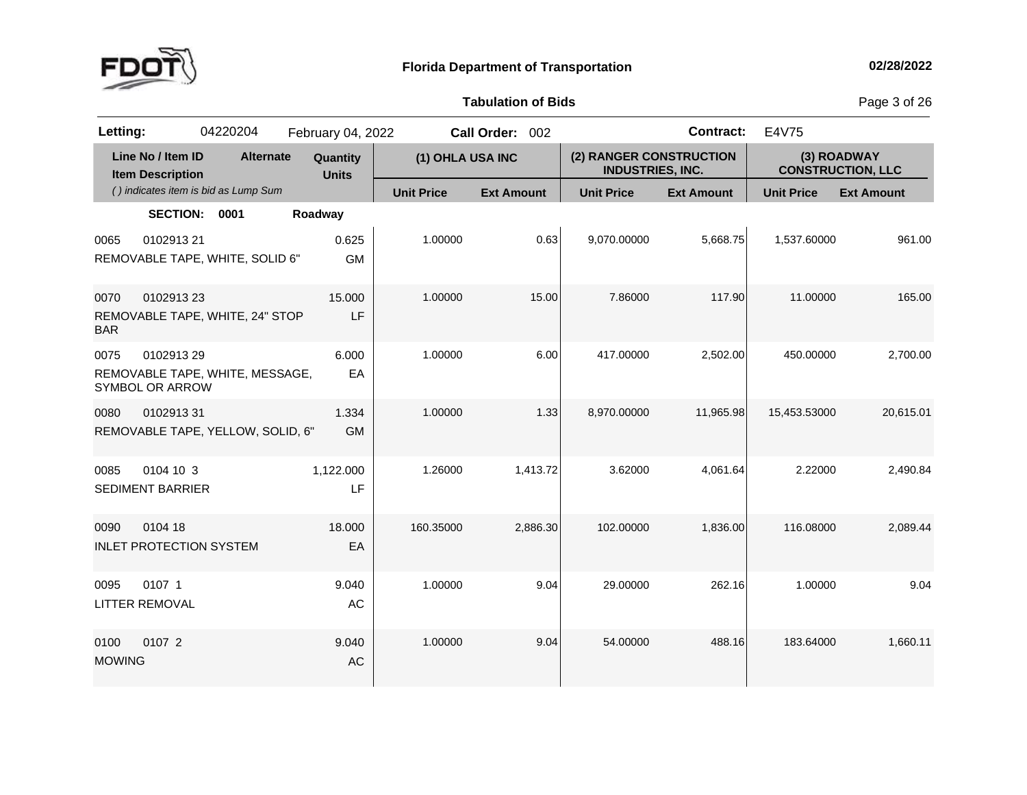

**of Bids** Page <sup>3</sup> of <sup>26</sup>

| Letting:              |                                              | 04220204                             | February 04, 2022        |                   | Call Order: 002   |                                                    | <b>Contract:</b>  | E4V75                                   |                   |
|-----------------------|----------------------------------------------|--------------------------------------|--------------------------|-------------------|-------------------|----------------------------------------------------|-------------------|-----------------------------------------|-------------------|
|                       | Line No / Item ID<br><b>Item Description</b> | <b>Alternate</b>                     | Quantity<br><b>Units</b> | (1) OHLA USA INC  |                   | (2) RANGER CONSTRUCTION<br><b>INDUSTRIES, INC.</b> |                   | (3) ROADWAY<br><b>CONSTRUCTION, LLC</b> |                   |
|                       |                                              | () indicates item is bid as Lump Sum |                          | <b>Unit Price</b> | <b>Ext Amount</b> | <b>Unit Price</b>                                  | <b>Ext Amount</b> | <b>Unit Price</b>                       | <b>Ext Amount</b> |
|                       | <b>SECTION:</b>                              | 0001                                 | Roadway                  |                   |                   |                                                    |                   |                                         |                   |
| 0065                  | 0102913 21                                   | REMOVABLE TAPE, WHITE, SOLID 6"      | 0.625<br><b>GM</b>       | 1.00000           | 0.63              | 9,070.00000                                        | 5,668.75          | 1,537.60000                             | 961.00            |
| 0070<br><b>BAR</b>    | 010291323                                    | REMOVABLE TAPE, WHITE, 24" STOP      | 15.000<br>LF             | 1.00000           | 15.00             | 7.86000                                            | 117.90            | 11.00000                                | 165.00            |
| 0075                  | 0102913 29<br>SYMBOL OR ARROW                | REMOVABLE TAPE, WHITE, MESSAGE,      | 6.000<br>EA              | 1.00000           | 6.00              | 417.00000                                          | 2,502.00          | 450.00000                               | 2,700.00          |
| 0080                  | 010291331                                    | REMOVABLE TAPE, YELLOW, SOLID, 6"    | 1.334<br><b>GM</b>       | 1.00000           | 1.33              | 8,970.00000                                        | 11,965.98         | 15,453.53000                            | 20,615.01         |
| 0085                  | 0104 10 3<br><b>SEDIMENT BARRIER</b>         |                                      | 1,122.000<br>LF          | 1.26000           | 1,413.72          | 3.62000                                            | 4,061.64          | 2.22000                                 | 2,490.84          |
| 0090                  | 0104 18<br><b>INLET PROTECTION SYSTEM</b>    |                                      | 18.000<br>EA             | 160.35000         | 2.886.30          | 102.00000                                          | 1.836.00          | 116.08000                               | 2.089.44          |
| 0095                  | 0107 1<br><b>LITTER REMOVAL</b>              |                                      | 9.040<br>AC              | 1.00000           | 9.04              | 29.00000                                           | 262.16            | 1.00000                                 | 9.04              |
| 0100<br><b>MOWING</b> | 0107 2                                       |                                      | 9.040<br>AC              | 1.00000           | 9.04              | 54.00000                                           | 488.16            | 183.64000                               | 1,660.11          |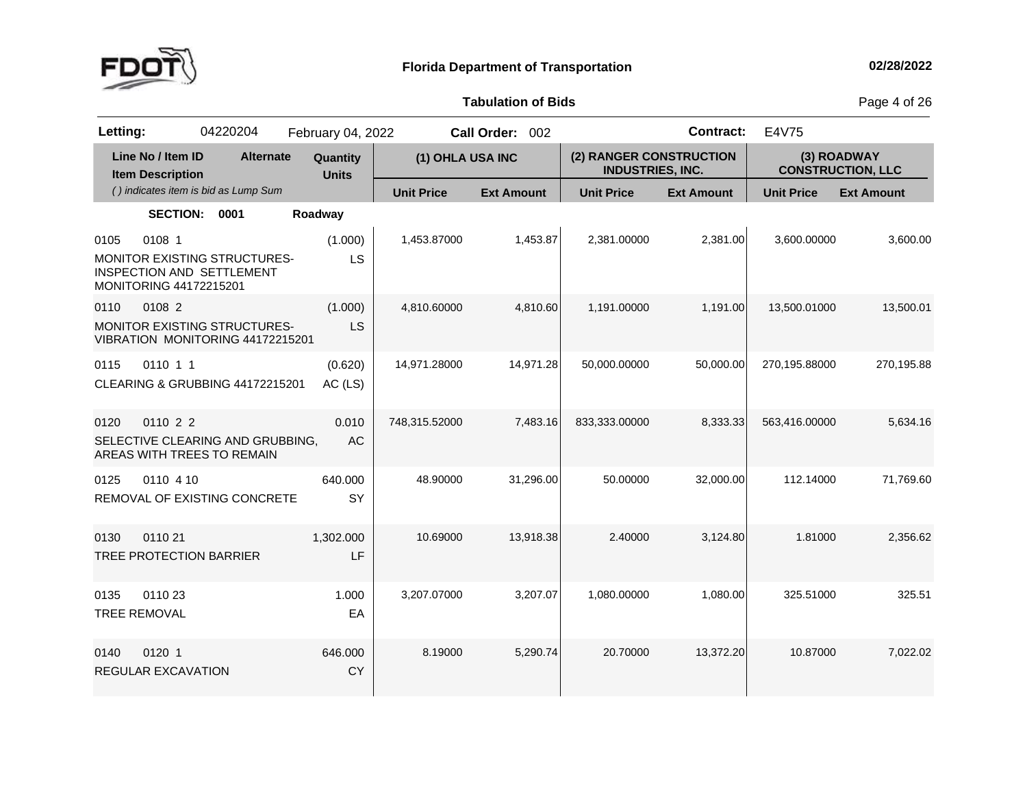

**of Bids** Page <sup>4</sup> of <sup>26</sup>

| Letting: |                                              | 04220204                                                         | February 04, 2022        |                   | Call Order: 002   |                                                    | <b>Contract:</b>  | E4V75                                   |                   |
|----------|----------------------------------------------|------------------------------------------------------------------|--------------------------|-------------------|-------------------|----------------------------------------------------|-------------------|-----------------------------------------|-------------------|
|          | Line No / Item ID<br><b>Item Description</b> | <b>Alternate</b>                                                 | Quantity<br><b>Units</b> | (1) OHLA USA INC  |                   | (2) RANGER CONSTRUCTION<br><b>INDUSTRIES, INC.</b> |                   | (3) ROADWAY<br><b>CONSTRUCTION, LLC</b> |                   |
|          |                                              | () indicates item is bid as Lump Sum                             |                          | <b>Unit Price</b> | <b>Ext Amount</b> | <b>Unit Price</b>                                  | <b>Ext Amount</b> | <b>Unit Price</b>                       | <b>Ext Amount</b> |
|          | <b>SECTION:</b>                              | 0001                                                             | Roadway                  |                   |                   |                                                    |                   |                                         |                   |
| 0105     | 0108 1<br>MONITORING 44172215201             | <b>MONITOR EXISTING STRUCTURES-</b><br>INSPECTION AND SETTLEMENT | (1.000)<br>LS            | 1,453.87000       | 1,453.87          | 2,381.00000                                        | 2,381.00          | 3,600.00000                             | 3,600.00          |
| 0110     | 0108 2                                       | MONITOR EXISTING STRUCTURES-<br>VIBRATION MONITORING 44172215201 | (1.000)<br>LS            | 4,810.60000       | 4,810.60          | 1,191.00000                                        | 1,191.00          | 13,500.01000                            | 13,500.01         |
| 0115     | 0110 1 1                                     | CLEARING & GRUBBING 44172215201                                  | (0.620)<br>AC (LS)       | 14,971.28000      | 14,971.28         | 50,000.00000                                       | 50,000.00         | 270,195.88000                           | 270,195.88        |
| 0120     | 0110 2 2                                     | SELECTIVE CLEARING AND GRUBBING,<br>AREAS WITH TREES TO REMAIN   | 0.010<br><b>AC</b>       | 748,315.52000     | 7,483.16          | 833,333.00000                                      | 8,333.33          | 563,416.00000                           | 5,634.16          |
| 0125     | 0110 4 10                                    | REMOVAL OF EXISTING CONCRETE                                     | 640.000<br>SY            | 48.90000          | 31,296.00         | 50.00000                                           | 32,000.00         | 112.14000                               | 71,769.60         |
| 0130     | 011021<br>TREE PROTECTION BARRIER            |                                                                  | 1,302.000<br>LF          | 10.69000          | 13,918.38         | 2.40000                                            | 3,124.80          | 1.81000                                 | 2,356.62          |
| 0135     | 011023<br><b>TREE REMOVAL</b>                |                                                                  | 1.000<br>EA              | 3,207.07000       | 3,207.07          | 1,080.00000                                        | 1,080.00          | 325.51000                               | 325.51            |
| 0140     | 0120 1<br>REGULAR EXCAVATION                 |                                                                  | 646.000<br><b>CY</b>     | 8.19000           | 5,290.74          | 20.70000                                           | 13,372.20         | 10.87000                                | 7,022.02          |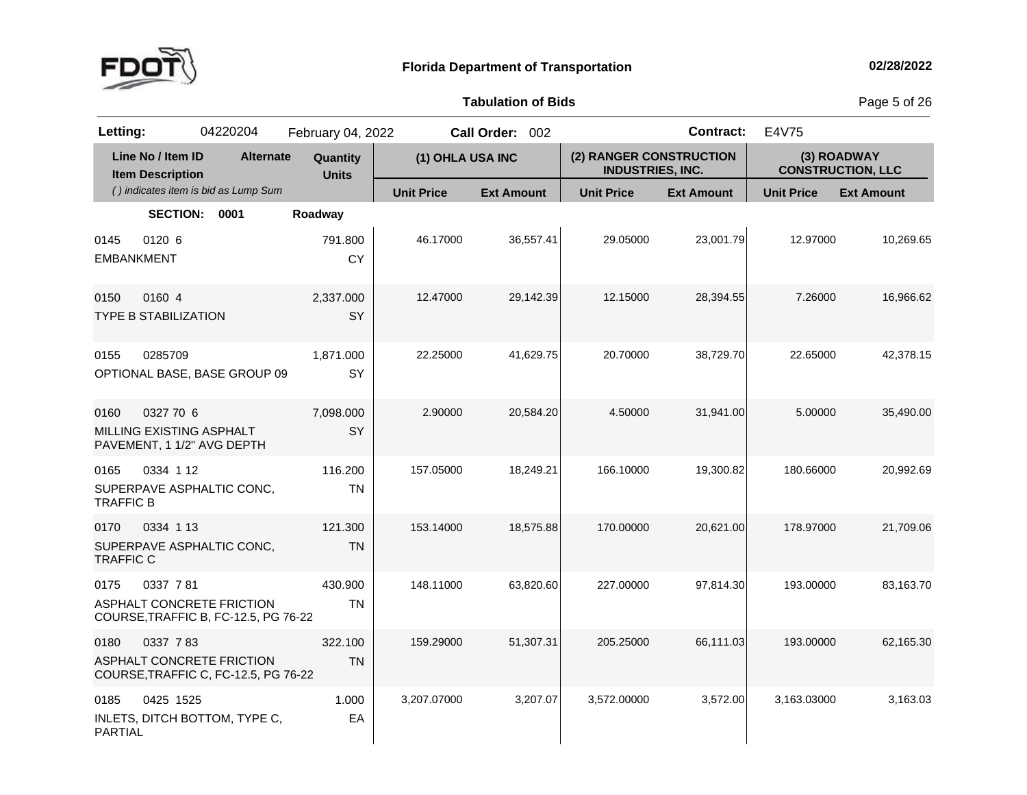

**of Bids** Page <sup>5</sup> of <sup>26</sup>

| Letting:                  |                                              | 04220204                                                                 | February 04, 2022        |                   | Call Order: 002   |                                                    | <b>Contract:</b>  | E4V75             |                                         |
|---------------------------|----------------------------------------------|--------------------------------------------------------------------------|--------------------------|-------------------|-------------------|----------------------------------------------------|-------------------|-------------------|-----------------------------------------|
|                           | Line No / Item ID<br><b>Item Description</b> | <b>Alternate</b>                                                         | Quantity<br><b>Units</b> | (1) OHLA USA INC  |                   | (2) RANGER CONSTRUCTION<br><b>INDUSTRIES, INC.</b> |                   |                   | (3) ROADWAY<br><b>CONSTRUCTION, LLC</b> |
|                           |                                              | () indicates item is bid as Lump Sum                                     |                          | <b>Unit Price</b> | <b>Ext Amount</b> | <b>Unit Price</b>                                  | <b>Ext Amount</b> | <b>Unit Price</b> | <b>Ext Amount</b>                       |
|                           | <b>SECTION:</b>                              | 0001                                                                     | Roadway                  |                   |                   |                                                    |                   |                   |                                         |
| 0145<br><b>EMBANKMENT</b> | 0120 6                                       |                                                                          | 791.800<br><b>CY</b>     | 46.17000          | 36,557.41         | 29.05000                                           | 23,001.79         | 12.97000          | 10,269.65                               |
| 0150                      | 0160 4<br><b>TYPE B STABILIZATION</b>        |                                                                          | 2,337.000<br>SY          | 12.47000          | 29,142.39         | 12.15000                                           | 28,394.55         | 7.26000           | 16,966.62                               |
| 0155                      | 0285709                                      | OPTIONAL BASE, BASE GROUP 09                                             | 1,871.000<br>SY          | 22.25000          | 41,629.75         | 20.70000                                           | 38,729.70         | 22.65000          | 42,378.15                               |
| 0160                      | 0327 70 6<br>MILLING EXISTING ASPHALT        | PAVEMENT, 1 1/2" AVG DEPTH                                               | 7,098.000<br>SY          | 2.90000           | 20,584.20         | 4.50000                                            | 31,941.00         | 5.00000           | 35,490.00                               |
| 0165<br><b>TRAFFIC B</b>  | 0334 1 12                                    | SUPERPAVE ASPHALTIC CONC,                                                | 116.200<br><b>TN</b>     | 157.05000         | 18,249.21         | 166.10000                                          | 19,300.82         | 180.66000         | 20,992.69                               |
| 0170<br><b>TRAFFIC C</b>  | 0334 1 13                                    | SUPERPAVE ASPHALTIC CONC,                                                | 121.300<br><b>TN</b>     | 153.14000         | 18,575.88         | 170.00000                                          | 20,621.00         | 178.97000         | 21,709.06                               |
| 0175                      | 0337 781                                     | ASPHALT CONCRETE FRICTION<br>COURSE, TRAFFIC B, FC-12.5, PG 76-22        | 430.900<br><b>TN</b>     | 148.11000         | 63,820.60         | 227.00000                                          | 97,814.30         | 193.00000         | 83,163.70                               |
| 0180                      | 0337 783                                     | <b>ASPHALT CONCRETE FRICTION</b><br>COURSE, TRAFFIC C, FC-12.5, PG 76-22 | 322.100<br><b>TN</b>     | 159.29000         | 51.307.31         | 205.25000                                          | 66,111.03         | 193.00000         | 62,165.30                               |
| 0185<br><b>PARTIAL</b>    | 0425 1525                                    | INLETS, DITCH BOTTOM, TYPE C,                                            | 1.000<br>EA              | 3,207.07000       | 3,207.07          | 3,572.00000                                        | 3,572.00          | 3,163.03000       | 3,163.03                                |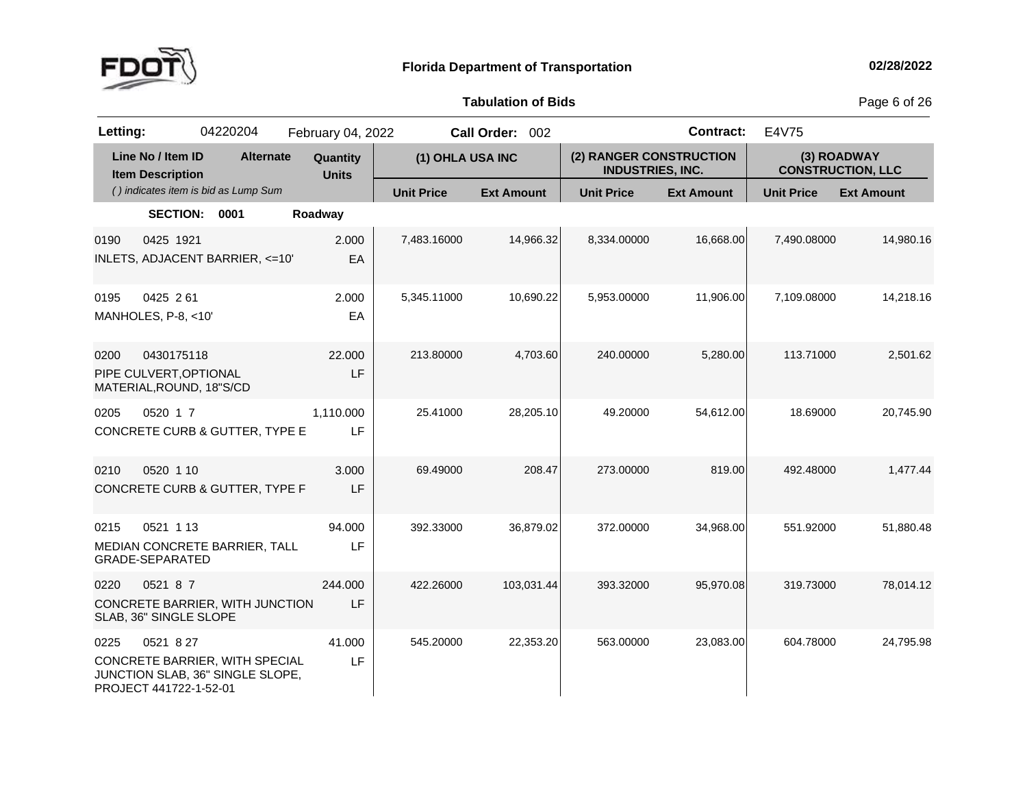

**of Bids** Page <sup>6</sup> of <sup>26</sup>

| Letting: |                                                                  | 04220204                                                           | February 04, 2022        |                   | Call Order: 002   |                                                    | <b>Contract:</b>  | E4V75             |                                         |
|----------|------------------------------------------------------------------|--------------------------------------------------------------------|--------------------------|-------------------|-------------------|----------------------------------------------------|-------------------|-------------------|-----------------------------------------|
|          | Line No / Item ID<br><b>Item Description</b>                     | <b>Alternate</b>                                                   | Quantity<br><b>Units</b> | (1) OHLA USA INC  |                   | (2) RANGER CONSTRUCTION<br><b>INDUSTRIES, INC.</b> |                   |                   | (3) ROADWAY<br><b>CONSTRUCTION, LLC</b> |
|          |                                                                  | () indicates item is bid as Lump Sum                               |                          | <b>Unit Price</b> | <b>Ext Amount</b> | <b>Unit Price</b>                                  | <b>Ext Amount</b> | <b>Unit Price</b> | <b>Ext Amount</b>                       |
|          | SECTION: 0001                                                    |                                                                    | Roadway                  |                   |                   |                                                    |                   |                   |                                         |
| 0190     | 0425 1921                                                        | INLETS, ADJACENT BARRIER, <= 10'                                   | 2.000<br>EA              | 7,483.16000       | 14,966.32         | 8,334.00000                                        | 16,668.00         | 7,490.08000       | 14,980.16                               |
| 0195     | 0425 261<br>MANHOLES, P-8, <10'                                  |                                                                    | 2.000<br>EA              | 5,345.11000       | 10,690.22         | 5,953.00000                                        | 11,906.00         | 7,109.08000       | 14,218.16                               |
| 0200     | 0430175118<br>PIPE CULVERT, OPTIONAL<br>MATERIAL, ROUND, 18"S/CD |                                                                    | 22,000<br>LF             | 213.80000         | 4,703.60          | 240.00000                                          | 5,280.00          | 113.71000         | 2,501.62                                |
| 0205     | 0520 1 7                                                         | <b>CONCRETE CURB &amp; GUTTER, TYPE E</b>                          | 1,110.000<br>LF          | 25.41000          | 28,205.10         | 49.20000                                           | 54,612.00         | 18.69000          | 20,745.90                               |
| 0210     | 0520 1 10                                                        | CONCRETE CURB & GUTTER, TYPE F                                     | 3.000<br>LF              | 69.49000          | 208.47            | 273.00000                                          | 819.00            | 492.48000         | 1,477.44                                |
| 0215     | 0521 1 13<br><b>GRADE-SEPARATED</b>                              | MEDIAN CONCRETE BARRIER, TALL                                      | 94.000<br>LF             | 392.33000         | 36,879.02         | 372.00000                                          | 34,968.00         | 551.92000         | 51,880.48                               |
| 0220     | 0521 8 7<br>SLAB, 36" SINGLE SLOPE                               | CONCRETE BARRIER, WITH JUNCTION                                    | 244.000<br>LF            | 422.26000         | 103,031.44        | 393.32000                                          | 95,970.08         | 319.73000         | 78,014.12                               |
| 0225     | 0521 8 27<br>PROJECT 441722-1-52-01                              | CONCRETE BARRIER, WITH SPECIAL<br>JUNCTION SLAB, 36" SINGLE SLOPE, | 41.000<br>LF             | 545.20000         | 22,353.20         | 563.00000                                          | 23,083.00         | 604.78000         | 24.795.98                               |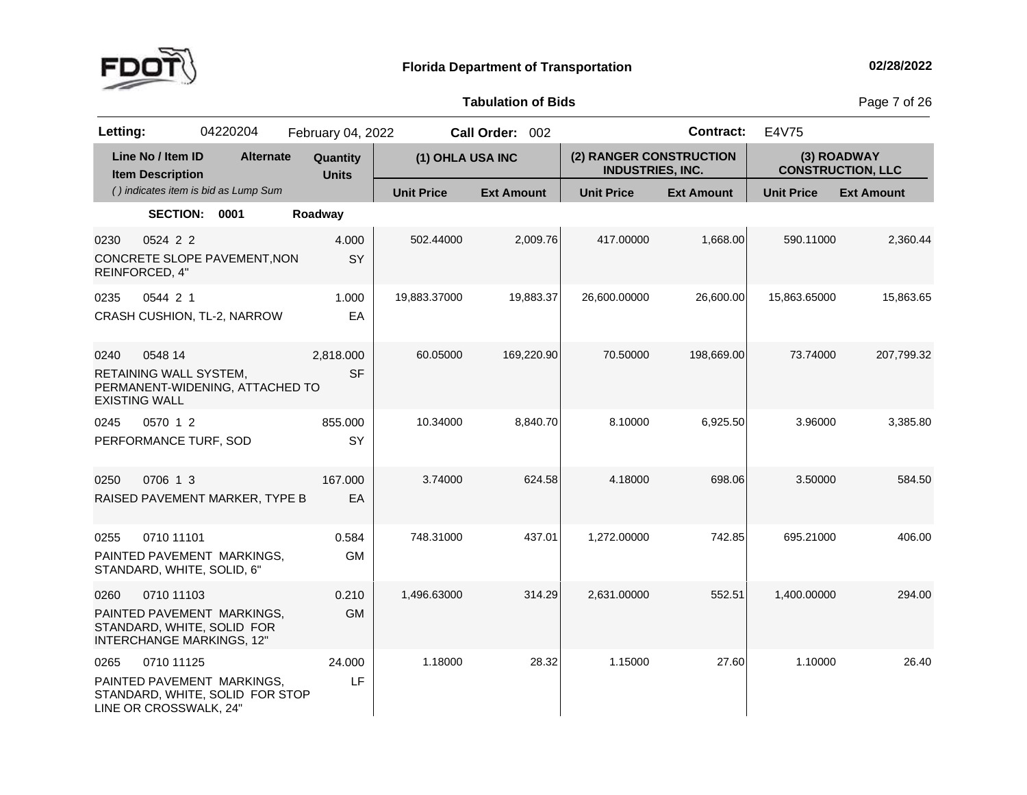

**of Bids** Page <sup>7</sup> of <sup>26</sup>

| Letting:                     |                                              | 04220204                                                                                     | February 04, 2022        |                   | Call Order: 002   |                                                    | <b>Contract:</b>  | E4V75             |                                         |
|------------------------------|----------------------------------------------|----------------------------------------------------------------------------------------------|--------------------------|-------------------|-------------------|----------------------------------------------------|-------------------|-------------------|-----------------------------------------|
|                              | Line No / Item ID<br><b>Item Description</b> | <b>Alternate</b>                                                                             | Quantity<br><b>Units</b> | (1) OHLA USA INC  |                   | (2) RANGER CONSTRUCTION<br><b>INDUSTRIES, INC.</b> |                   |                   | (3) ROADWAY<br><b>CONSTRUCTION, LLC</b> |
|                              |                                              | () indicates item is bid as Lump Sum                                                         |                          | <b>Unit Price</b> | <b>Ext Amount</b> | <b>Unit Price</b>                                  | <b>Ext Amount</b> | <b>Unit Price</b> | <b>Ext Amount</b>                       |
|                              | <b>SECTION:</b>                              | 0001                                                                                         | Roadway                  |                   |                   |                                                    |                   |                   |                                         |
| 0230<br>REINFORCED, 4"       | 0524 2 2                                     | CONCRETE SLOPE PAVEMENT, NON                                                                 | 4.000<br>SY              | 502.44000         | 2,009.76          | 417.00000                                          | 1,668.00          | 590.11000         | 2,360.44                                |
| 0235                         | 0544 2 1                                     | CRASH CUSHION, TL-2, NARROW                                                                  | 1.000<br>EA              | 19,883.37000      | 19,883.37         | 26,600.00000                                       | 26,600.00         | 15,863.65000      | 15,863.65                               |
| 0240<br><b>EXISTING WALL</b> | 0548 14<br>RETAINING WALL SYSTEM,            | PERMANENT-WIDENING, ATTACHED TO                                                              | 2,818.000<br><b>SF</b>   | 60.05000          | 169,220.90        | 70.50000                                           | 198,669.00        | 73.74000          | 207,799.32                              |
| 0245                         | 0570 1 2<br>PERFORMANCE TURF, SOD            |                                                                                              | 855.000<br>SY            | 10.34000          | 8,840.70          | 8.10000                                            | 6,925.50          | 3.96000           | 3,385.80                                |
| 0250                         | 0706 1 3                                     | RAISED PAVEMENT MARKER, TYPE B                                                               | 167.000<br>EA            | 3.74000           | 624.58            | 4.18000                                            | 698.06            | 3.50000           | 584.50                                  |
| 0255                         | 0710 11101                                   | PAINTED PAVEMENT MARKINGS,<br>STANDARD, WHITE, SOLID, 6"                                     | 0.584<br><b>GM</b>       | 748.31000         | 437.01            | 1,272.00000                                        | 742.85            | 695.21000         | 406.00                                  |
| 0260                         | 0710 11103                                   | PAINTED PAVEMENT MARKINGS,<br>STANDARD, WHITE, SOLID FOR<br><b>INTERCHANGE MARKINGS, 12"</b> | 0.210<br><b>GM</b>       | 1,496.63000       | 314.29            | 2,631.00000                                        | 552.51            | 1,400.00000       | 294.00                                  |
| 0265                         | 0710 11125<br>LINE OR CROSSWALK, 24"         | PAINTED PAVEMENT MARKINGS.<br>STANDARD, WHITE, SOLID FOR STOP                                | 24.000<br>LF             | 1.18000           | 28.32             | 1.15000                                            | 27.60             | 1.10000           | 26.40                                   |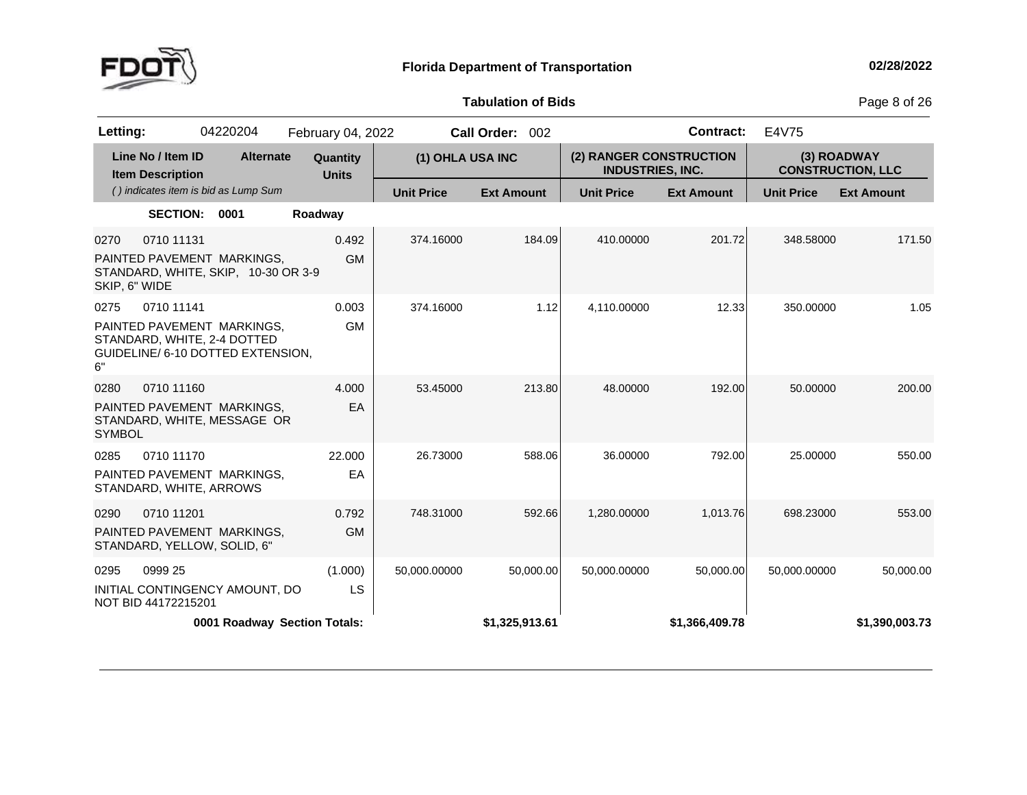

**of Bids** Page <sup>8</sup> of <sup>26</sup>

| Letting:              |                                              | 04220204                                                                                       | February 04, 2022        |                   | Call Order: 002   |                                                    | <b>Contract:</b>  | E4V75             |                                         |
|-----------------------|----------------------------------------------|------------------------------------------------------------------------------------------------|--------------------------|-------------------|-------------------|----------------------------------------------------|-------------------|-------------------|-----------------------------------------|
|                       | Line No / Item ID<br><b>Item Description</b> | <b>Alternate</b>                                                                               | Quantity<br><b>Units</b> | (1) OHLA USA INC  |                   | (2) RANGER CONSTRUCTION<br><b>INDUSTRIES, INC.</b> |                   |                   | (3) ROADWAY<br><b>CONSTRUCTION, LLC</b> |
|                       |                                              | () indicates item is bid as Lump Sum                                                           |                          | <b>Unit Price</b> | <b>Ext Amount</b> | <b>Unit Price</b>                                  | <b>Ext Amount</b> | <b>Unit Price</b> | <b>Ext Amount</b>                       |
|                       | <b>SECTION:</b>                              | 0001                                                                                           | Roadway                  |                   |                   |                                                    |                   |                   |                                         |
| 0270<br>SKIP, 6" WIDE | 0710 11131                                   | PAINTED PAVEMENT MARKINGS,<br>STANDARD, WHITE, SKIP, 10-30 OR 3-9                              | 0.492<br><b>GM</b>       | 374.16000         | 184.09            | 410.00000                                          | 201.72            | 348.58000         | 171.50                                  |
| 0275<br>6"            | 0710 11141                                   | PAINTED PAVEMENT MARKINGS,<br>STANDARD, WHITE, 2-4 DOTTED<br>GUIDELINE/ 6-10 DOTTED EXTENSION, | 0.003<br><b>GM</b>       | 374.16000         | 1.12              | 4,110.00000                                        | 12.33             | 350.00000         | 1.05                                    |
| 0280<br><b>SYMBOL</b> | 0710 11160                                   | PAINTED PAVEMENT MARKINGS,<br>STANDARD, WHITE, MESSAGE OR                                      | 4.000<br>EA              | 53.45000          | 213.80            | 48.00000                                           | 192.00            | 50.00000          | 200.00                                  |
| 0285                  | 0710 11170<br>STANDARD, WHITE, ARROWS        | PAINTED PAVEMENT MARKINGS,                                                                     | 22.000<br>EA             | 26.73000          | 588.06            | 36.00000                                           | 792.00            | 25.00000          | 550.00                                  |
| 0290                  | 0710 11201                                   | PAINTED PAVEMENT MARKINGS,<br>STANDARD, YELLOW, SOLID, 6"                                      | 0.792<br><b>GM</b>       | 748.31000         | 592.66            | 1,280.00000                                        | 1,013.76          | 698.23000         | 553.00                                  |
| 0295                  | 0999 25<br>NOT BID 44172215201               | INITIAL CONTINGENCY AMOUNT, DO                                                                 | (1.000)<br>LS            | 50,000.00000      | 50,000.00         | 50,000.00000                                       | 50,000.00         | 50,000.00000      | 50,000.00                               |
|                       |                                              | 0001 Roadway Section Totals:                                                                   |                          |                   | \$1,325,913.61    |                                                    | \$1,366,409.78    |                   | \$1,390,003.73                          |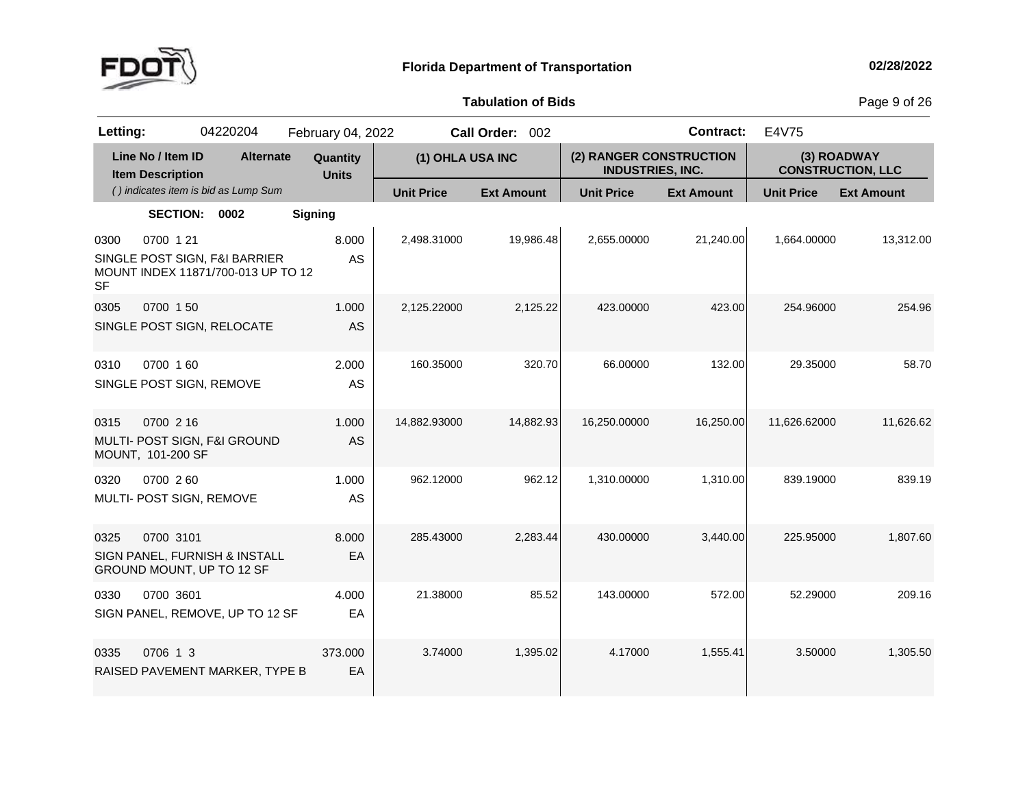

**of Bids** Page <sup>9</sup> of <sup>26</sup>

| Letting:          |                                              | 04220204                                                            | February 04, 2022        |                   | Call Order: 002   |                                                    | <b>Contract:</b>  | E4V75                                   |                   |
|-------------------|----------------------------------------------|---------------------------------------------------------------------|--------------------------|-------------------|-------------------|----------------------------------------------------|-------------------|-----------------------------------------|-------------------|
|                   | Line No / Item ID<br><b>Item Description</b> | <b>Alternate</b>                                                    | Quantity<br><b>Units</b> | (1) OHLA USA INC  |                   | (2) RANGER CONSTRUCTION<br><b>INDUSTRIES, INC.</b> |                   | (3) ROADWAY<br><b>CONSTRUCTION, LLC</b> |                   |
|                   |                                              | () indicates item is bid as Lump Sum                                |                          | <b>Unit Price</b> | <b>Ext Amount</b> | <b>Unit Price</b>                                  | <b>Ext Amount</b> | <b>Unit Price</b>                       | <b>Ext Amount</b> |
|                   | <b>SECTION:</b>                              | 0002                                                                | <b>Signing</b>           |                   |                   |                                                    |                   |                                         |                   |
| 0300<br><b>SF</b> | 0700 1 21                                    | SINGLE POST SIGN, F&I BARRIER<br>MOUNT INDEX 11871/700-013 UP TO 12 | 8.000<br>AS              | 2,498.31000       | 19,986.48         | 2,655.00000                                        | 21,240.00         | 1,664.00000                             | 13,312.00         |
| 0305              | 0700 1 50                                    | SINGLE POST SIGN, RELOCATE                                          | 1.000<br>AS              | 2,125.22000       | 2,125.22          | 423.00000                                          | 423.00            | 254.96000                               | 254.96            |
| 0310              | 0700 160<br>SINGLE POST SIGN, REMOVE         |                                                                     | 2.000<br>AS              | 160.35000         | 320.70            | 66.00000                                           | 132.00            | 29.35000                                | 58.70             |
| 0315              | 0700 2 16<br>MOUNT, 101-200 SF               | MULTI- POST SIGN, F&I GROUND                                        | 1.000<br>AS              | 14,882.93000      | 14,882.93         | 16,250.00000                                       | 16,250.00         | 11,626.62000                            | 11,626.62         |
| 0320              | 0700 260<br>MULTI- POST SIGN, REMOVE         |                                                                     | 1.000<br>AS              | 962.12000         | 962.12            | 1,310.00000                                        | 1,310.00          | 839.19000                               | 839.19            |
| 0325              | 0700 3101                                    | SIGN PANEL, FURNISH & INSTALL<br>GROUND MOUNT, UP TO 12 SF          | 8.000<br>EA              | 285.43000         | 2,283.44          | 430.00000                                          | 3,440.00          | 225.95000                               | 1,807.60          |
| 0330              | 0700 3601                                    | SIGN PANEL, REMOVE, UP TO 12 SF                                     | 4.000<br>EA              | 21.38000          | 85.52             | 143.00000                                          | 572.00            | 52.29000                                | 209.16            |
| 0335              | 0706 1 3                                     | RAISED PAVEMENT MARKER, TYPE B                                      | 373.000<br>EA            | 3.74000           | 1,395.02          | 4.17000                                            | 1,555.41          | 3.50000                                 | 1,305.50          |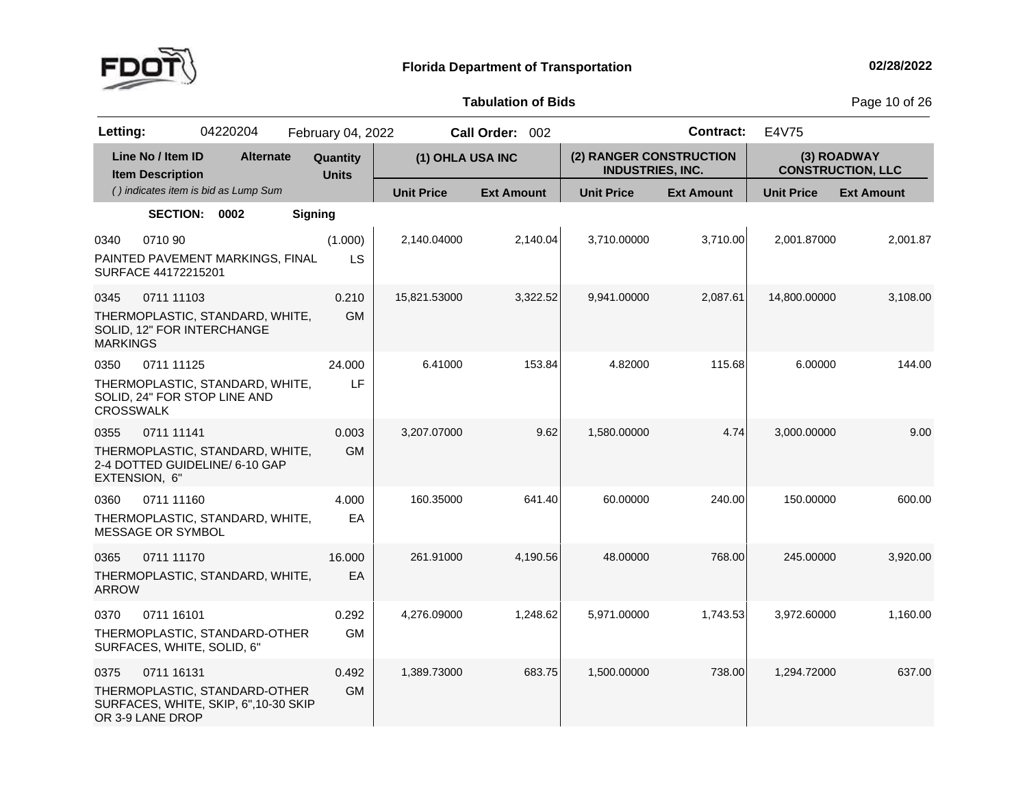

**of Bids** Page <sup>10</sup> of <sup>26</sup>

| Letting:                                     | 04220204                                                                             | February 04, 2022        |                   | Call Order: 002   |                                                    | <b>Contract:</b>  | E4V75             |                                         |
|----------------------------------------------|--------------------------------------------------------------------------------------|--------------------------|-------------------|-------------------|----------------------------------------------------|-------------------|-------------------|-----------------------------------------|
| Line No / Item ID<br><b>Item Description</b> | <b>Alternate</b>                                                                     | Quantity<br><b>Units</b> | (1) OHLA USA INC  |                   | (2) RANGER CONSTRUCTION<br><b>INDUSTRIES, INC.</b> |                   |                   | (3) ROADWAY<br><b>CONSTRUCTION, LLC</b> |
|                                              | () indicates item is bid as Lump Sum                                                 |                          | <b>Unit Price</b> | <b>Ext Amount</b> | <b>Unit Price</b>                                  | <b>Ext Amount</b> | <b>Unit Price</b> | <b>Ext Amount</b>                       |
|                                              | <b>SECTION:</b><br>0002                                                              | <b>Signing</b>           |                   |                   |                                                    |                   |                   |                                         |
| 0710 90<br>0340<br>SURFACE 44172215201       | PAINTED PAVEMENT MARKINGS, FINAL                                                     | (1.000)<br>LS            | 2,140.04000       | 2,140.04          | 3,710.00000                                        | 3,710.00          | 2,001.87000       | 2,001.87                                |
| 0345<br><b>MARKINGS</b>                      | 0711 11103<br>THERMOPLASTIC, STANDARD, WHITE,<br>SOLID, 12" FOR INTERCHANGE          | 0.210<br><b>GM</b>       | 15,821.53000      | 3,322.52          | 9,941.00000                                        | 2,087.61          | 14,800.00000      | 3,108.00                                |
| 0350<br><b>CROSSWALK</b>                     | 0711 11125<br>THERMOPLASTIC, STANDARD, WHITE,<br>SOLID, 24" FOR STOP LINE AND        | 24.000<br>LF             | 6.41000           | 153.84            | 4.82000                                            | 115.68            | 6.00000           | 144.00                                  |
| 0355<br>EXTENSION, 6"                        | 0711 11141<br>THERMOPLASTIC, STANDARD, WHITE,<br>2-4 DOTTED GUIDELINE/ 6-10 GAP      | 0.003<br><b>GM</b>       | 3,207.07000       | 9.62              | 1,580.00000                                        | 4.74              | 3,000.00000       | 9.00                                    |
| 0360<br>MESSAGE OR SYMBOL                    | 0711 11160<br>THERMOPLASTIC, STANDARD, WHITE,                                        | 4.000<br>EA              | 160.35000         | 641.40            | 60.00000                                           | 240.00            | 150.00000         | 600.00                                  |
| 0365<br><b>ARROW</b>                         | 0711 11170<br>THERMOPLASTIC, STANDARD, WHITE,                                        | 16.000<br>EA             | 261.91000         | 4,190.56          | 48.00000                                           | 768.00            | 245.00000         | 3,920.00                                |
| 0370                                         | 0711 16101<br>THERMOPLASTIC, STANDARD-OTHER<br>SURFACES, WHITE, SOLID, 6"            | 0.292<br><b>GM</b>       | 4,276.09000       | 1,248.62          | 5,971.00000                                        | 1,743.53          | 3,972.60000       | 1,160.00                                |
| 0375<br>OR 3-9 LANE DROP                     | 0711 16131<br>THERMOPLASTIC, STANDARD-OTHER<br>SURFACES, WHITE, SKIP, 6", 10-30 SKIP | 0.492<br><b>GM</b>       | 1,389.73000       | 683.75            | 1,500.00000                                        | 738.00            | 1,294.72000       | 637.00                                  |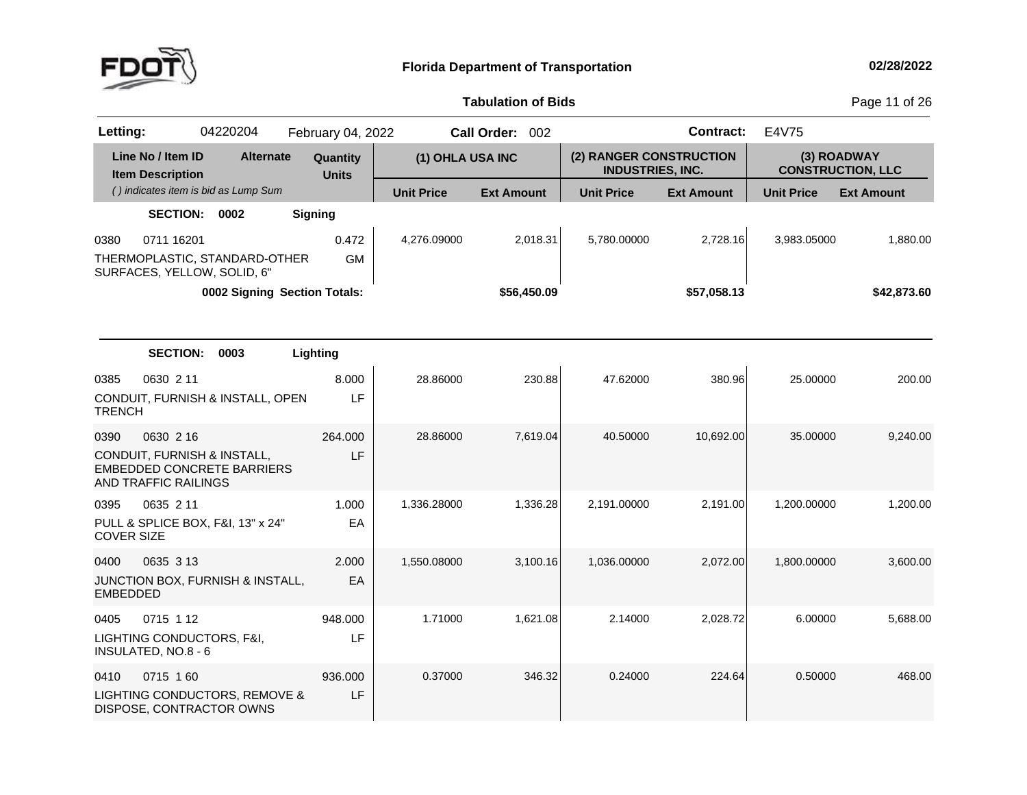

**of Bids** Page <sup>11</sup> of <sup>26</sup>

| Letting:          |                                                                                          | 04220204                     | February 04, 2022        |                   | Call Order: 002   |                                                    | <b>Contract:</b>  | E4V75             |                                         |
|-------------------|------------------------------------------------------------------------------------------|------------------------------|--------------------------|-------------------|-------------------|----------------------------------------------------|-------------------|-------------------|-----------------------------------------|
|                   | Line No / Item ID<br><b>Item Description</b>                                             | <b>Alternate</b>             | Quantity<br><b>Units</b> | (1) OHLA USA INC  |                   | (2) RANGER CONSTRUCTION<br><b>INDUSTRIES, INC.</b> |                   |                   | (3) ROADWAY<br><b>CONSTRUCTION, LLC</b> |
|                   | () indicates item is bid as Lump Sum                                                     |                              |                          | <b>Unit Price</b> | <b>Ext Amount</b> | <b>Unit Price</b>                                  | <b>Ext Amount</b> | <b>Unit Price</b> | <b>Ext Amount</b>                       |
|                   | SECTION: 0002                                                                            |                              | <b>Signing</b>           |                   |                   |                                                    |                   |                   |                                         |
| 0380              | 0711 16201                                                                               |                              | 0.472                    | 4,276.09000       | 2,018.31          | 5,780.00000                                        | 2,728.16          | 3,983.05000       | 1,880.00                                |
|                   | THERMOPLASTIC, STANDARD-OTHER<br>SURFACES, YELLOW, SOLID, 6"                             |                              | <b>GM</b>                |                   |                   |                                                    |                   |                   |                                         |
|                   |                                                                                          | 0002 Signing Section Totals: |                          |                   | \$56,450.09       |                                                    | \$57,058.13       |                   | \$42,873.60                             |
|                   |                                                                                          |                              |                          |                   |                   |                                                    |                   |                   |                                         |
|                   | <b>SECTION:</b>                                                                          | 0003                         | Lighting                 |                   |                   |                                                    |                   |                   |                                         |
| 0385              | 0630 2 11                                                                                |                              | 8.000                    | 28.86000          | 230.88            | 47.62000                                           | 380.96            | 25.00000          | 200.00                                  |
| <b>TRENCH</b>     | CONDUIT, FURNISH & INSTALL, OPEN                                                         |                              | LF                       |                   |                   |                                                    |                   |                   |                                         |
| 0390              | 0630 2 16                                                                                |                              | 264.000                  | 28.86000          | 7,619.04          | 40.50000                                           | 10,692.00         | 35.00000          | 9,240.00                                |
|                   | CONDUIT, FURNISH & INSTALL,<br><b>EMBEDDED CONCRETE BARRIERS</b><br>AND TRAFFIC RAILINGS |                              | LF                       |                   |                   |                                                    |                   |                   |                                         |
| 0395              | 0635 2 11                                                                                |                              | 1.000                    | 1,336.28000       | 1,336.28          | 2,191.00000                                        | 2,191.00          | 1,200.00000       | 1,200.00                                |
| <b>COVER SIZE</b> | PULL & SPLICE BOX, F&I, 13" x 24"                                                        |                              | EA                       |                   |                   |                                                    |                   |                   |                                         |
| 0400              | 0635 3 13                                                                                |                              | 2.000                    | 1,550.08000       | 3,100.16          | 1,036.00000                                        | 2,072.00          | 1,800.00000       | 3,600.00                                |
| <b>EMBEDDED</b>   | JUNCTION BOX, FURNISH & INSTALL,                                                         |                              | EA                       |                   |                   |                                                    |                   |                   |                                         |
| 0405              | 0715 1 12                                                                                |                              | 948.000                  | 1.71000           | 1,621.08          | 2.14000                                            | 2,028.72          | 6.00000           | 5,688.00                                |
|                   | LIGHTING CONDUCTORS, F&I,<br>INSULATED, NO.8 - 6                                         |                              | LF                       |                   |                   |                                                    |                   |                   |                                         |
| 0410              | 0715 160                                                                                 |                              | 936.000                  | 0.37000           | 346.32            | 0.24000                                            | 224.64            | 0.50000           | 468.00                                  |
|                   | LIGHTING CONDUCTORS, REMOVE &<br>DISPOSE, CONTRACTOR OWNS                                |                              | LF                       |                   |                   |                                                    |                   |                   |                                         |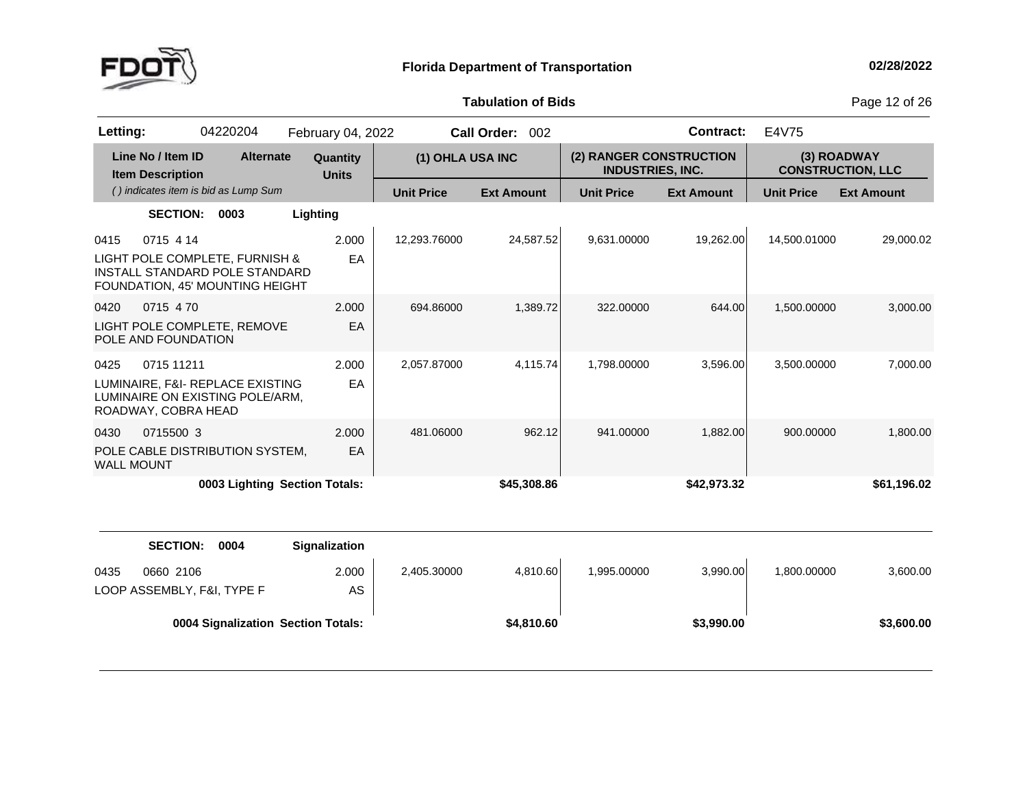

**of Bids** Page <sup>12</sup> of <sup>26</sup>

| Letting:                                                                                                                 | 04220204                             | February 04, 2022        |                   | <b>Call Order:</b><br>002 |                                                    | <b>Contract:</b>  | E4V75             |                                         |
|--------------------------------------------------------------------------------------------------------------------------|--------------------------------------|--------------------------|-------------------|---------------------------|----------------------------------------------------|-------------------|-------------------|-----------------------------------------|
| Line No / Item ID<br><b>Item Description</b>                                                                             | <b>Alternate</b>                     | Quantity<br><b>Units</b> | (1) OHLA USA INC  |                           | (2) RANGER CONSTRUCTION<br><b>INDUSTRIES, INC.</b> |                   |                   | (3) ROADWAY<br><b>CONSTRUCTION, LLC</b> |
|                                                                                                                          | () indicates item is bid as Lump Sum |                          | <b>Unit Price</b> | <b>Ext Amount</b>         | <b>Unit Price</b>                                  | <b>Ext Amount</b> | <b>Unit Price</b> | <b>Ext Amount</b>                       |
| <b>SECTION:</b>                                                                                                          | 0003                                 | Lighting                 |                   |                           |                                                    |                   |                   |                                         |
| 0715 4 14<br>0415<br>LIGHT POLE COMPLETE, FURNISH &<br>INSTALL STANDARD POLE STANDARD<br>FOUNDATION, 45' MOUNTING HEIGHT |                                      | 2.000<br>EA              | 12.293.76000      | 24,587.52                 | 9,631.00000                                        | 19,262.00         | 14,500.01000      | 29.000.02                               |
| 0715 470<br>0420<br>LIGHT POLE COMPLETE, REMOVE<br>POLE AND FOUNDATION                                                   |                                      | 2.000<br>EA              | 694.86000         | 1.389.72                  | 322,00000                                          | 644.00            | 1,500.00000       | 3,000.00                                |
| 0425<br>0715 11211<br>LUMINAIRE, F&I- REPLACE EXISTING<br>LUMINAIRE ON EXISTING POLE/ARM.<br>ROADWAY, COBRA HEAD         |                                      | 2.000<br>EA              | 2,057.87000       | 4,115.74                  | 1,798.00000                                        | 3,596.00          | 3,500.00000       | 7,000.00                                |
| 0715500 3<br>0430<br>POLE CABLE DISTRIBUTION SYSTEM,<br><b>WALL MOUNT</b>                                                |                                      | 2.000<br>EA              | 481.06000         | 962.12                    | 941.00000                                          | 1,882.00          | 900.00000         | 1,800.00                                |
|                                                                                                                          | 0003 Lighting Section Totals:        |                          |                   | \$45,308.86               |                                                    | \$42,973.32       |                   | \$61,196.02                             |

|                                                 | <b>SECTION:</b> | 0004 | <b>Signalization</b>               |             |            |             |            |             |            |
|-------------------------------------------------|-----------------|------|------------------------------------|-------------|------------|-------------|------------|-------------|------------|
| 0435<br>0660 2106<br>LOOP ASSEMBLY, F&I, TYPE F |                 |      | 2.000<br>AS                        | 2,405.30000 | 4,810.60   | 1,995.00000 | 3,990.00   | 1,800.00000 | 3,600.00   |
|                                                 |                 |      | 0004 Signalization Section Totals: |             | \$4,810.60 |             | \$3,990.00 |             | \$3,600.00 |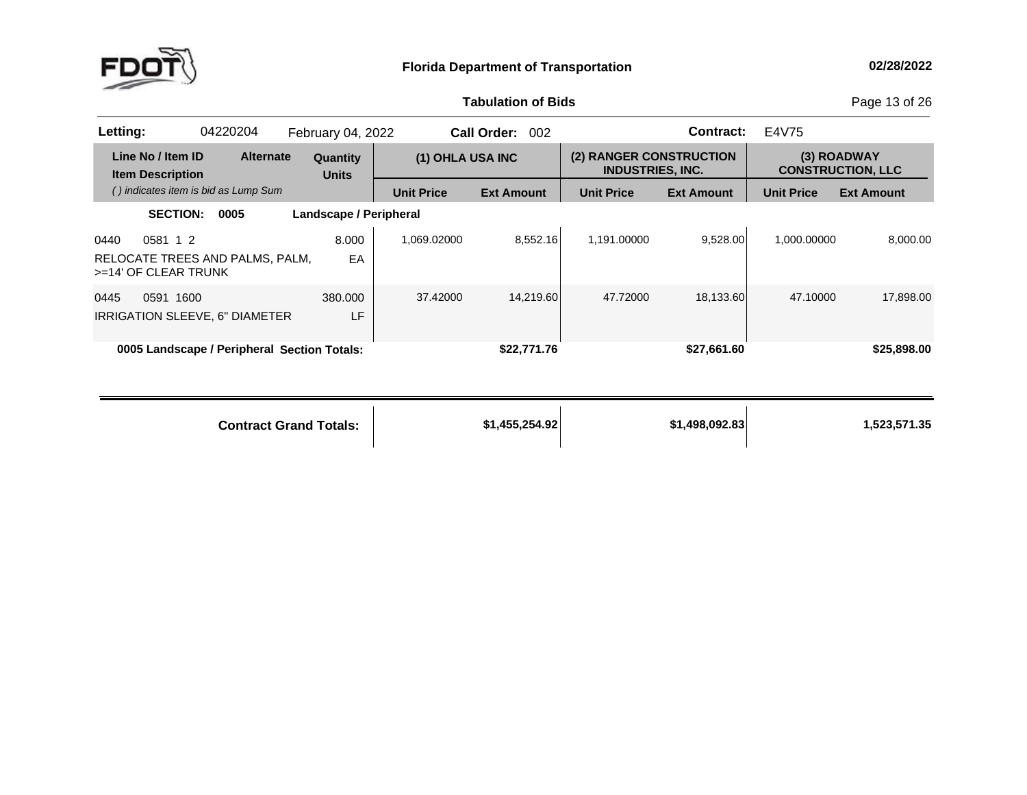

**of Bids** Page <sup>13</sup> of <sup>26</sup>

| Letting:                                     | 04220204                                    | <b>February 04, 2022</b> |                   | Call Order:<br>002 |                                                    | Contract:         | E4V75             |                                         |
|----------------------------------------------|---------------------------------------------|--------------------------|-------------------|--------------------|----------------------------------------------------|-------------------|-------------------|-----------------------------------------|
| Line No / Item ID<br><b>Item Description</b> | <b>Alternate</b>                            | Quantity<br><b>Units</b> | (1) OHLA USA INC  |                    | (2) RANGER CONSTRUCTION<br><b>INDUSTRIES, INC.</b> |                   |                   | (3) ROADWAY<br><b>CONSTRUCTION, LLC</b> |
|                                              | () indicates item is bid as Lump Sum        |                          | <b>Unit Price</b> | <b>Ext Amount</b>  | <b>Unit Price</b>                                  | <b>Ext Amount</b> | <b>Unit Price</b> | <b>Ext Amount</b>                       |
|                                              | <b>SECTION:</b><br>0005                     | Landscape / Peripheral   |                   |                    |                                                    |                   |                   |                                         |
| 0581 1 2<br>0440<br>$>=14'$ OF CLEAR TRUNK   | RELOCATE TREES AND PALMS, PALM,             | 8.000<br>EA              | 1.069.02000       | 8.552.16           | 1.191.00000                                        | 9.528.00          | 1.000.00000       | 8.000.00                                |
| 0591<br>0445                                 | 1600<br>IRRIGATION SLEEVE, 6" DIAMETER      | 380,000<br>LF            | 37.42000          | 14.219.60          | 47.72000                                           | 18,133.60         | 47.10000          | 17,898.00                               |
|                                              | 0005 Landscape / Peripheral Section Totals: |                          |                   | \$22,771.76        |                                                    | \$27,661.60       |                   | \$25,898.00                             |

| <b>Contract Grand Totals:</b> | \$1,455,254.92 | \$1.498,092,83 | 1,523,571.35 |
|-------------------------------|----------------|----------------|--------------|
|                               |                |                |              |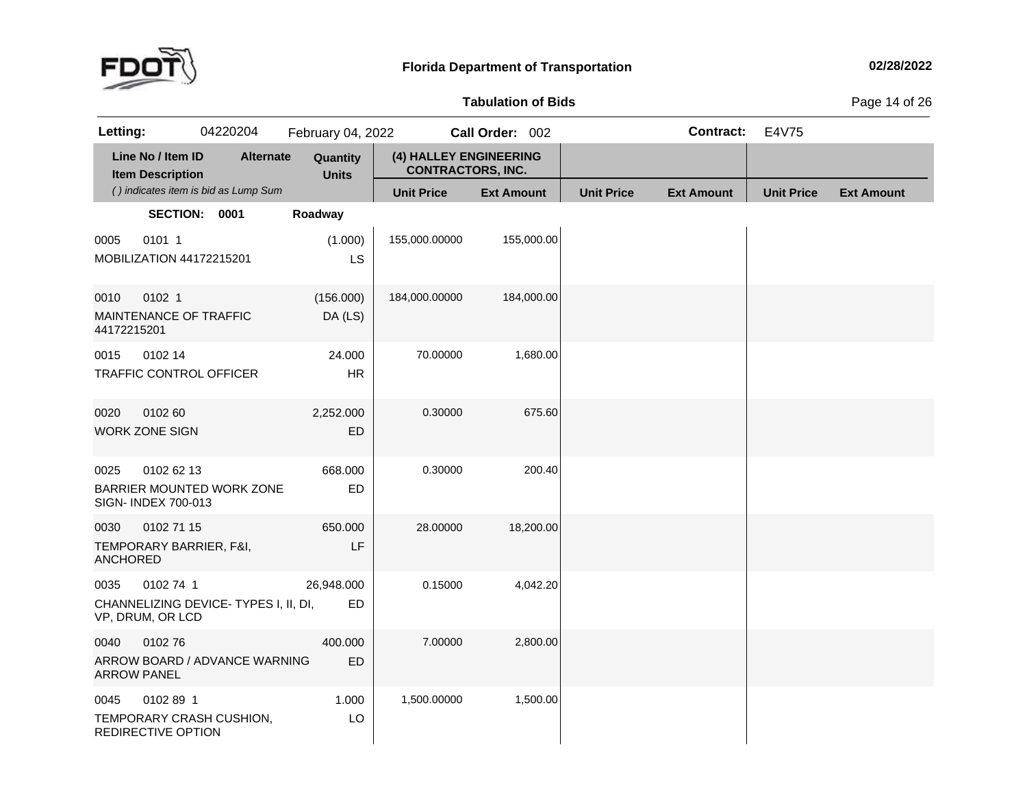

**of Bids** Page <sup>14</sup> of <sup>26</sup>

| Letting:                |                                              | 04220204                             | February 04, 2022        |                                                    | Call Order: 002   |                   | <b>Contract:</b>  | E4V75             |                   |
|-------------------------|----------------------------------------------|--------------------------------------|--------------------------|----------------------------------------------------|-------------------|-------------------|-------------------|-------------------|-------------------|
|                         | Line No / Item ID<br><b>Item Description</b> | <b>Alternate</b>                     | Quantity<br><b>Units</b> | (4) HALLEY ENGINEERING<br><b>CONTRACTORS, INC.</b> |                   |                   |                   |                   |                   |
|                         |                                              | () indicates item is bid as Lump Sum |                          | <b>Unit Price</b>                                  | <b>Ext Amount</b> | <b>Unit Price</b> | <b>Ext Amount</b> | <b>Unit Price</b> | <b>Ext Amount</b> |
|                         | SECTION: 0001                                |                                      | Roadway                  |                                                    |                   |                   |                   |                   |                   |
| 0005                    | 0101 1<br>MOBILIZATION 44172215201           |                                      | (1.000)<br>LS            | 155,000.00000                                      | 155,000.00        |                   |                   |                   |                   |
| 0010<br>44172215201     | 0102 1<br>MAINTENANCE OF TRAFFIC             |                                      | (156.000)<br>DA (LS)     | 184,000.00000                                      | 184,000.00        |                   |                   |                   |                   |
| 0015                    | 0102 14<br>TRAFFIC CONTROL OFFICER           |                                      | 24.000<br><b>HR</b>      | 70.00000                                           | 1,680.00          |                   |                   |                   |                   |
| 0020                    | 0102 60<br><b>WORK ZONE SIGN</b>             |                                      | 2,252.000<br>ED          | 0.30000                                            | 675.60            |                   |                   |                   |                   |
| 0025                    | 0102 62 13<br>SIGN- INDEX 700-013            | BARRIER MOUNTED WORK ZONE            | 668.000<br><b>ED</b>     | 0.30000                                            | 200.40            |                   |                   |                   |                   |
| 0030<br><b>ANCHORED</b> | 0102 71 15<br>TEMPORARY BARRIER, F&I,        |                                      | 650.000<br>LF            | 28.00000                                           | 18,200.00         |                   |                   |                   |                   |
| 0035                    | 0102 74 1<br>VP, DRUM, OR LCD                | CHANNELIZING DEVICE-TYPES I, II, DI, | 26,948.000<br>ED         | 0.15000                                            | 4,042.20          |                   |                   |                   |                   |
| 0040                    | 010276<br><b>ARROW PANEL</b>                 | ARROW BOARD / ADVANCE WARNING        | 400.000<br>ED.           | 7.00000                                            | 2,800.00          |                   |                   |                   |                   |
| 0045                    | 0102 89 1<br>REDIRECTIVE OPTION              | TEMPORARY CRASH CUSHION,             | 1.000<br>LO              | 1,500.00000                                        | 1,500.00          |                   |                   |                   |                   |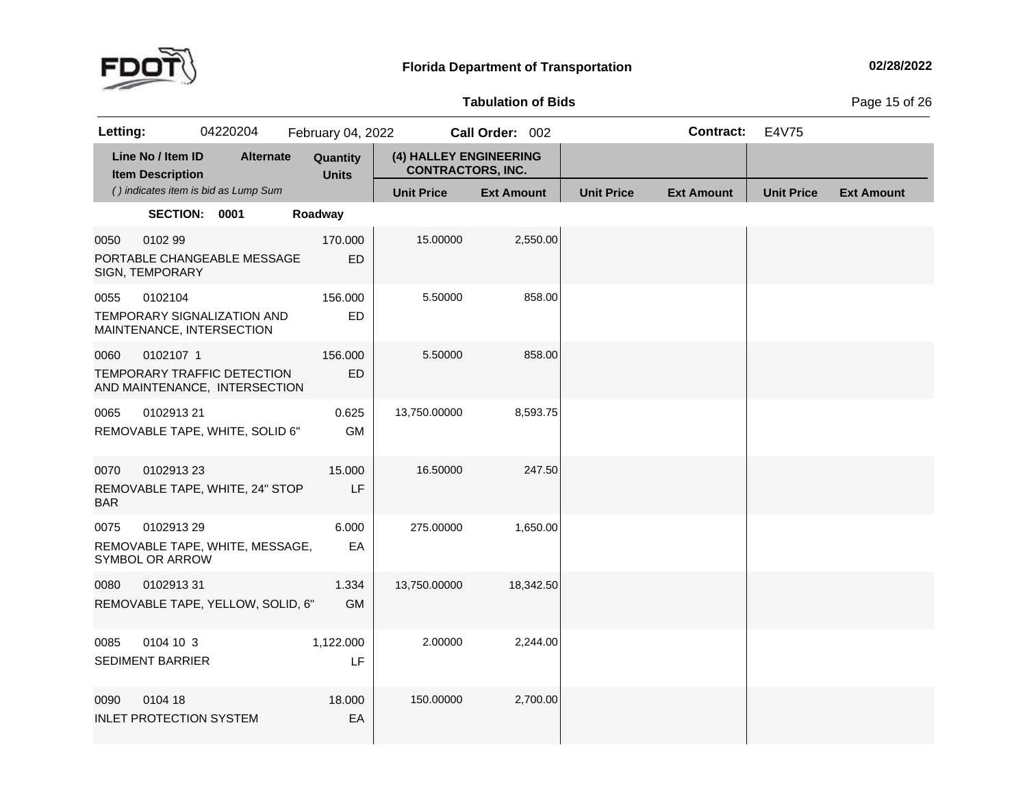

**of Bids** Page <sup>15</sup> of <sup>26</sup>

| Letting:                                                                    |                                      | 04220204  | February 04, 2022        |                                                    | Call Order: 002   |                   | <b>Contract:</b>  | E4V75             |                   |
|-----------------------------------------------------------------------------|--------------------------------------|-----------|--------------------------|----------------------------------------------------|-------------------|-------------------|-------------------|-------------------|-------------------|
| Line No / Item ID<br><b>Item Description</b>                                |                                      | Alternate | Quantity<br><b>Units</b> | (4) HALLEY ENGINEERING<br><b>CONTRACTORS, INC.</b> |                   |                   |                   |                   |                   |
|                                                                             | () indicates item is bid as Lump Sum |           |                          | <b>Unit Price</b>                                  | <b>Ext Amount</b> | <b>Unit Price</b> | <b>Ext Amount</b> | <b>Unit Price</b> | <b>Ext Amount</b> |
|                                                                             | SECTION: 0001                        |           | Roadway                  |                                                    |                   |                   |                   |                   |                   |
| 0050<br>0102 99<br>PORTABLE CHANGEABLE MESSAGE<br>SIGN, TEMPORARY           |                                      |           | 170.000<br><b>ED</b>     | 15.00000                                           | 2,550.00          |                   |                   |                   |                   |
| 0102104<br>0055<br>TEMPORARY SIGNALIZATION AND<br>MAINTENANCE, INTERSECTION |                                      |           | 156.000<br>ED            | 5.50000                                            | 858.00            |                   |                   |                   |                   |
| 0060<br>TEMPORARY TRAFFIC DETECTION<br>AND MAINTENANCE, INTERSECTION        | 0102107 1                            |           | 156.000<br><b>ED</b>     | 5.50000                                            | 858.00            |                   |                   |                   |                   |
| 0065<br>REMOVABLE TAPE, WHITE, SOLID 6"                                     | 0102913 21                           |           | 0.625<br><b>GM</b>       | 13,750.00000                                       | 8,593.75          |                   |                   |                   |                   |
| 0070<br>REMOVABLE TAPE, WHITE, 24" STOP<br>BAR                              | 010291323                            |           | 15.000<br>LF             | 16.50000                                           | 247.50            |                   |                   |                   |                   |
| 0075<br>REMOVABLE TAPE, WHITE, MESSAGE,<br>SYMBOL OR ARROW                  | 0102913 29                           |           | 6.000<br>EA              | 275.00000                                          | 1,650.00          |                   |                   |                   |                   |
| 0080<br>REMOVABLE TAPE, YELLOW, SOLID, 6"                                   | 010291331                            |           | 1.334<br><b>GM</b>       | 13,750.00000                                       | 18,342.50         |                   |                   |                   |                   |
| 0085<br><b>SEDIMENT BARRIER</b>                                             | 0104 10 3                            |           | 1,122.000<br>LF          | 2.00000                                            | 2,244.00          |                   |                   |                   |                   |
| 0090<br>0104 18<br><b>INLET PROTECTION SYSTEM</b>                           |                                      |           | 18.000<br>EA             | 150.00000                                          | 2,700.00          |                   |                   |                   |                   |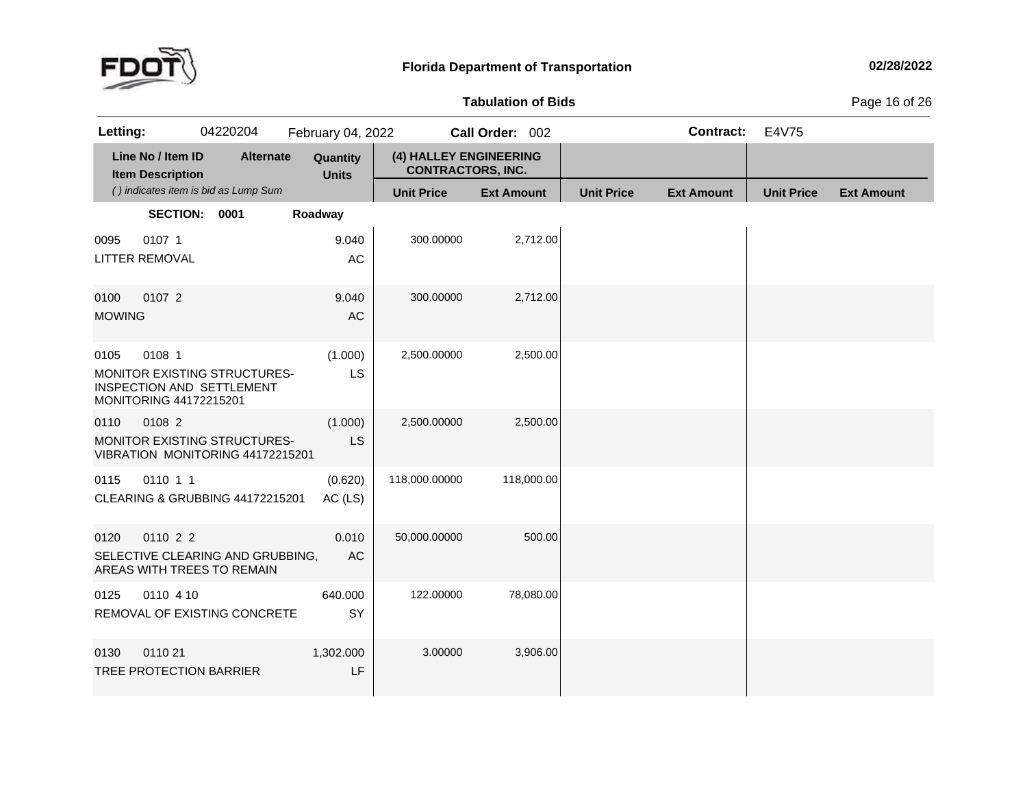

### **Tabulation**

**of Bids** Page <sup>16</sup> of <sup>26</sup>

| Letting:              |                                              | 04220204                                                                | February 04, 2022        |                                                    | Call Order: 002   |                   | <b>Contract:</b>  | E4V75             |                   |
|-----------------------|----------------------------------------------|-------------------------------------------------------------------------|--------------------------|----------------------------------------------------|-------------------|-------------------|-------------------|-------------------|-------------------|
|                       | Line No / Item ID<br><b>Item Description</b> | <b>Alternate</b>                                                        | Quantity<br><b>Units</b> | (4) HALLEY ENGINEERING<br><b>CONTRACTORS, INC.</b> |                   |                   |                   |                   |                   |
|                       |                                              | () indicates item is bid as Lump Sum                                    |                          | <b>Unit Price</b>                                  | <b>Ext Amount</b> | <b>Unit Price</b> | <b>Ext Amount</b> | <b>Unit Price</b> | <b>Ext Amount</b> |
|                       | SECTION: 0001                                |                                                                         | Roadway                  |                                                    |                   |                   |                   |                   |                   |
| 0095                  | 0107 1<br><b>LITTER REMOVAL</b>              |                                                                         | 9.040<br>AC              | 300.00000                                          | 2,712.00          |                   |                   |                   |                   |
| 0100<br><b>MOWING</b> | 0107 2                                       |                                                                         | 9.040<br>AC              | 300.00000                                          | 2,712.00          |                   |                   |                   |                   |
| 0105                  | 0108 1<br>MONITORING 44172215201             | MONITOR EXISTING STRUCTURES-<br>INSPECTION AND SETTLEMENT               | (1.000)<br>LS            | 2,500.00000                                        | 2,500.00          |                   |                   |                   |                   |
| 0110                  | 0108 2                                       | <b>MONITOR EXISTING STRUCTURES-</b><br>VIBRATION MONITORING 44172215201 | (1.000)<br>LS            | 2,500.00000                                        | 2,500.00          |                   |                   |                   |                   |
| 0115                  | 0110 1 1                                     | CLEARING & GRUBBING 44172215201                                         | (0.620)<br>AC (LS)       | 118,000.00000                                      | 118,000.00        |                   |                   |                   |                   |
| 0120                  | 0110 2 2                                     | SELECTIVE CLEARING AND GRUBBING,<br>AREAS WITH TREES TO REMAIN          | 0.010<br>AC              | 50,000.00000                                       | 500.00            |                   |                   |                   |                   |
| 0125                  | 0110 4 10                                    | REMOVAL OF EXISTING CONCRETE                                            | 640.000<br>SY            | 122.00000                                          | 78,080.00         |                   |                   |                   |                   |
| 0130                  | 0110 21                                      | TREE PROTECTION BARRIER                                                 | 1,302.000<br>LF          | 3.00000                                            | 3,906.00          |                   |                   |                   |                   |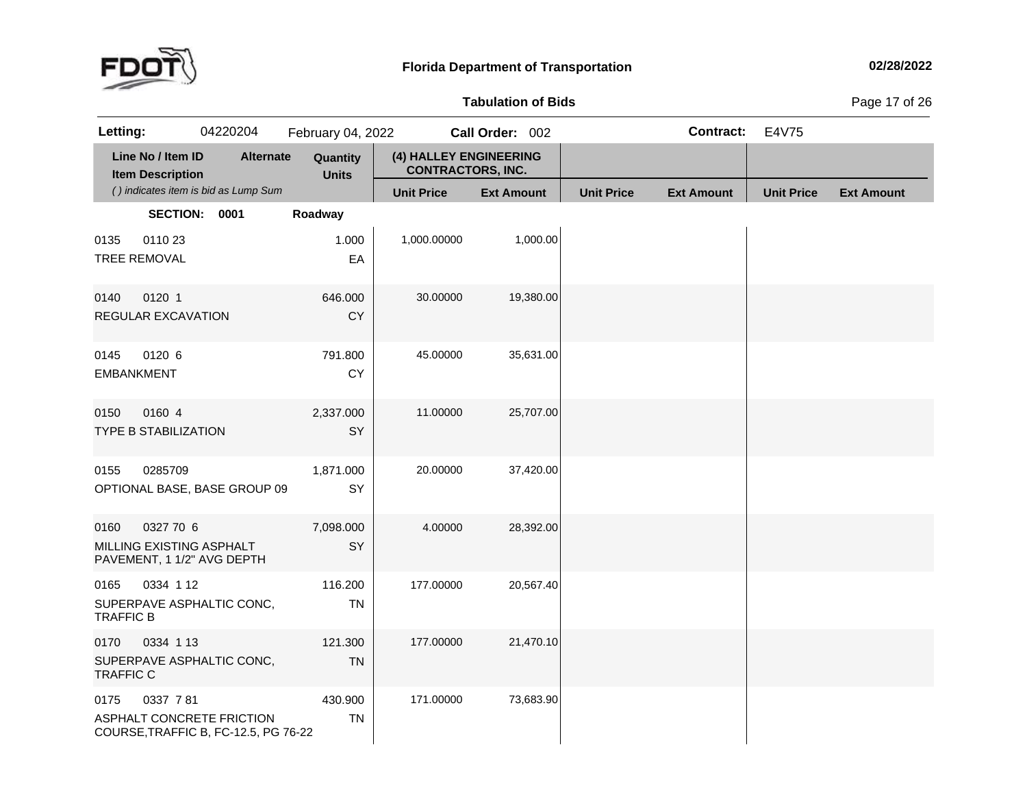

**of Bids** Page <sup>17</sup> of <sup>26</sup>

| Letting:                  |                                              | 04220204                                                          | February 04, 2022        |                                                    | Call Order: 002   |                   | <b>Contract:</b>  | E4V75             |                   |
|---------------------------|----------------------------------------------|-------------------------------------------------------------------|--------------------------|----------------------------------------------------|-------------------|-------------------|-------------------|-------------------|-------------------|
|                           | Line No / Item ID<br><b>Item Description</b> | <b>Alternate</b>                                                  | Quantity<br><b>Units</b> | (4) HALLEY ENGINEERING<br><b>CONTRACTORS, INC.</b> |                   |                   |                   |                   |                   |
|                           |                                              | () indicates item is bid as Lump Sum                              |                          | <b>Unit Price</b>                                  | <b>Ext Amount</b> | <b>Unit Price</b> | <b>Ext Amount</b> | <b>Unit Price</b> | <b>Ext Amount</b> |
|                           | <b>SECTION:</b>                              | 0001                                                              | Roadway                  |                                                    |                   |                   |                   |                   |                   |
| 0135                      | 011023<br><b>TREE REMOVAL</b>                |                                                                   | 1.000<br>EA              | 1,000.00000                                        | 1,000.00          |                   |                   |                   |                   |
| 0140                      | 0120 1<br>REGULAR EXCAVATION                 |                                                                   | 646.000<br><b>CY</b>     | 30.00000                                           | 19,380.00         |                   |                   |                   |                   |
| 0145<br><b>EMBANKMENT</b> | 0120 6                                       |                                                                   | 791.800<br><b>CY</b>     | 45.00000                                           | 35,631.00         |                   |                   |                   |                   |
| 0150                      | 0160 4<br><b>TYPE B STABILIZATION</b>        |                                                                   | 2,337.000<br>SY          | 11.00000                                           | 25,707.00         |                   |                   |                   |                   |
| 0155                      | 0285709                                      | OPTIONAL BASE, BASE GROUP 09                                      | 1,871.000<br>SY          | 20.00000                                           | 37,420.00         |                   |                   |                   |                   |
| 0160                      | 0327 70 6<br>MILLING EXISTING ASPHALT        | PAVEMENT, 1 1/2" AVG DEPTH                                        | 7,098.000<br>SY          | 4.00000                                            | 28,392.00         |                   |                   |                   |                   |
| 0165<br><b>TRAFFIC B</b>  | 0334 1 12                                    | SUPERPAVE ASPHALTIC CONC,                                         | 116.200<br><b>TN</b>     | 177.00000                                          | 20,567.40         |                   |                   |                   |                   |
| 0170<br><b>TRAFFIC C</b>  | 0334 1 13                                    | SUPERPAVE ASPHALTIC CONC,                                         | 121.300<br><b>TN</b>     | 177.00000                                          | 21,470.10         |                   |                   |                   |                   |
| 0175                      | 0337 7 81                                    | ASPHALT CONCRETE FRICTION<br>COURSE, TRAFFIC B, FC-12.5, PG 76-22 | 430.900<br><b>TN</b>     | 171.00000                                          | 73,683.90         |                   |                   |                   |                   |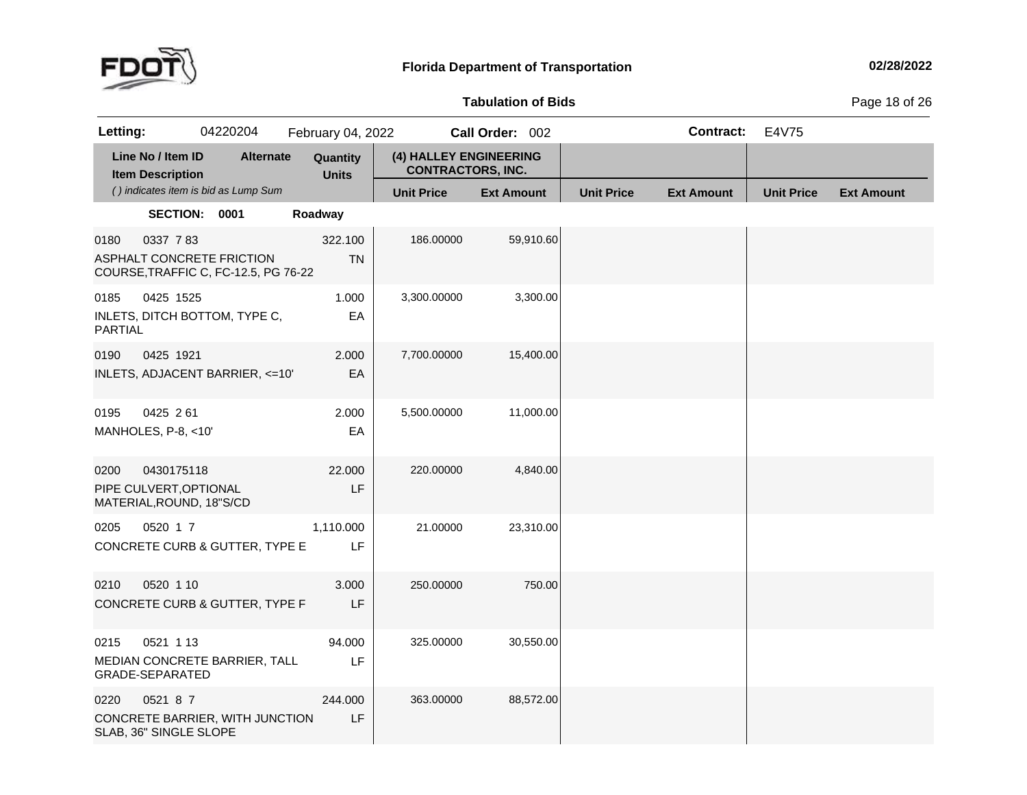

**of Bids** Page <sup>18</sup> of <sup>26</sup>

| Letting:        |                                                                  | 04220204                             | February 04, 2022        |                                                    | Call Order: 002   |                   | <b>Contract:</b>  | E4V75             |                   |
|-----------------|------------------------------------------------------------------|--------------------------------------|--------------------------|----------------------------------------------------|-------------------|-------------------|-------------------|-------------------|-------------------|
|                 | Line No / Item ID<br><b>Item Description</b>                     | <b>Alternate</b>                     | Quantity<br><b>Units</b> | (4) HALLEY ENGINEERING<br><b>CONTRACTORS, INC.</b> |                   |                   |                   |                   |                   |
|                 |                                                                  | () indicates item is bid as Lump Sum |                          | <b>Unit Price</b>                                  | <b>Ext Amount</b> | <b>Unit Price</b> | <b>Ext Amount</b> | <b>Unit Price</b> | <b>Ext Amount</b> |
|                 | SECTION: 0001                                                    |                                      | Roadway                  |                                                    |                   |                   |                   |                   |                   |
| 0180            | 0337 783<br>ASPHALT CONCRETE FRICTION                            | COURSE, TRAFFIC C, FC-12.5, PG 76-22 | 322.100<br><b>TN</b>     | 186.00000                                          | 59,910.60         |                   |                   |                   |                   |
| 0185<br>PARTIAL | 0425 1525                                                        | INLETS, DITCH BOTTOM, TYPE C,        | 1.000<br>EA              | 3,300.00000                                        | 3,300.00          |                   |                   |                   |                   |
| 0190            | 0425 1921                                                        | INLETS, ADJACENT BARRIER, <= 10'     | 2.000<br>EA              | 7,700.00000                                        | 15,400.00         |                   |                   |                   |                   |
| 0195            | 0425 261<br>MANHOLES, P-8, <10'                                  |                                      | 2.000<br>EA              | 5,500.00000                                        | 11,000.00         |                   |                   |                   |                   |
| 0200            | 0430175118<br>PIPE CULVERT, OPTIONAL<br>MATERIAL, ROUND, 18"S/CD |                                      | 22.000<br>LF             | 220.00000                                          | 4,840.00          |                   |                   |                   |                   |
| 0205            | 0520 1 7                                                         | CONCRETE CURB & GUTTER, TYPE E       | 1,110.000<br>LF          | 21.00000                                           | 23,310.00         |                   |                   |                   |                   |
| 0210            | 0520 1 10                                                        | CONCRETE CURB & GUTTER, TYPE F       | 3.000<br>LF              | 250.00000                                          | 750.00            |                   |                   |                   |                   |
| 0215            | 0521 1 13<br>GRADE-SEPARATED                                     | MEDIAN CONCRETE BARRIER, TALL        | 94.000<br>LF             | 325.00000                                          | 30,550.00         |                   |                   |                   |                   |
| 0220            | 0521 8 7<br>SLAB, 36" SINGLE SLOPE                               | CONCRETE BARRIER, WITH JUNCTION      | 244.000<br>LF            | 363.00000                                          | 88,572.00         |                   |                   |                   |                   |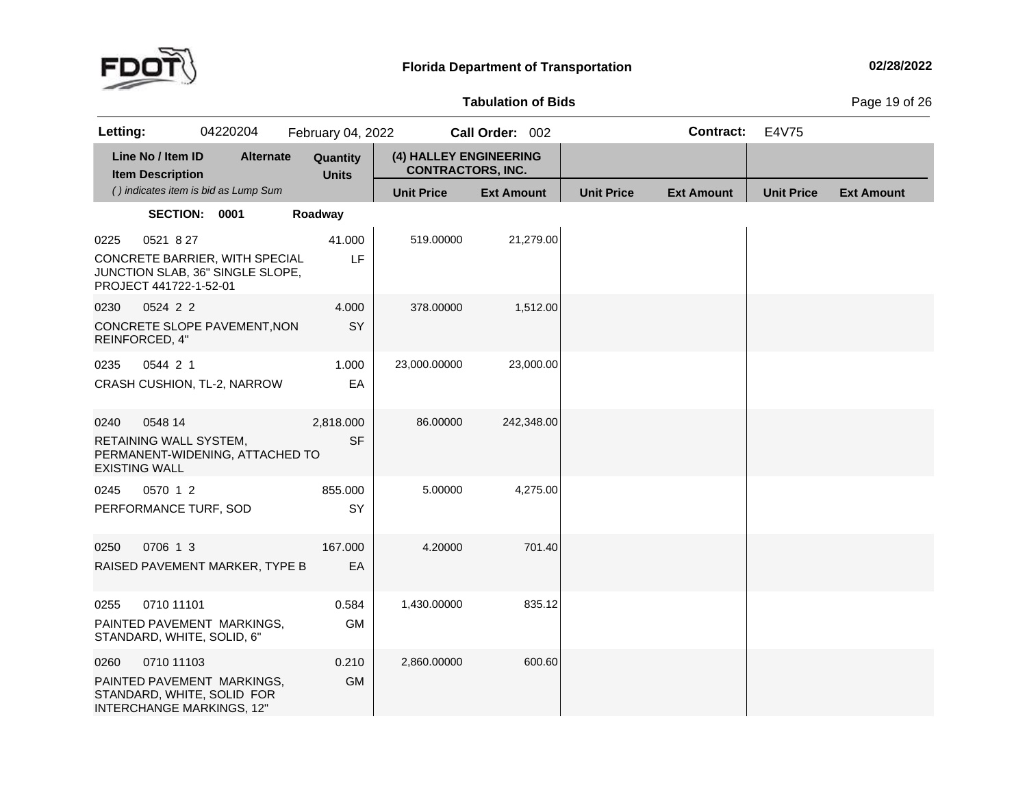

### **Tabulation**

**of Bids** Page <sup>19</sup> of <sup>26</sup>

| Letting:             |                                              | 04220204                                                                                     | February 04, 2022        |                                                    | Call Order: 002   |                   | <b>Contract:</b>  | E4V75             |                   |
|----------------------|----------------------------------------------|----------------------------------------------------------------------------------------------|--------------------------|----------------------------------------------------|-------------------|-------------------|-------------------|-------------------|-------------------|
|                      | Line No / Item ID<br><b>Item Description</b> | <b>Alternate</b>                                                                             | Quantity<br><b>Units</b> | (4) HALLEY ENGINEERING<br><b>CONTRACTORS, INC.</b> |                   |                   |                   |                   |                   |
|                      |                                              | () indicates item is bid as Lump Sum                                                         |                          | <b>Unit Price</b>                                  | <b>Ext Amount</b> | <b>Unit Price</b> | <b>Ext Amount</b> | <b>Unit Price</b> | <b>Ext Amount</b> |
|                      | SECTION: 0001                                |                                                                                              | Roadway                  |                                                    |                   |                   |                   |                   |                   |
| 0225                 | 0521 8 27                                    |                                                                                              | 41.000                   | 519.00000                                          | 21,279.00         |                   |                   |                   |                   |
|                      | PROJECT 441722-1-52-01                       | CONCRETE BARRIER, WITH SPECIAL<br>JUNCTION SLAB, 36" SINGLE SLOPE,                           | LF                       |                                                    |                   |                   |                   |                   |                   |
| 0230                 | 0524 2 2                                     |                                                                                              | 4.000                    | 378.00000                                          | 1,512.00          |                   |                   |                   |                   |
|                      | REINFORCED, 4"                               | CONCRETE SLOPE PAVEMENT, NON                                                                 | SY                       |                                                    |                   |                   |                   |                   |                   |
| 0235                 | 0544 2 1                                     |                                                                                              | 1.000                    | 23,000.00000                                       | 23,000.00         |                   |                   |                   |                   |
|                      |                                              | CRASH CUSHION, TL-2, NARROW                                                                  | EA                       |                                                    |                   |                   |                   |                   |                   |
| 0240                 | 0548 14                                      |                                                                                              | 2,818.000                | 86.00000                                           | 242,348.00        |                   |                   |                   |                   |
| <b>EXISTING WALL</b> | RETAINING WALL SYSTEM,                       | PERMANENT-WIDENING, ATTACHED TO                                                              | <b>SF</b>                |                                                    |                   |                   |                   |                   |                   |
| 0245                 | 0570 1 2                                     |                                                                                              | 855.000                  | 5.00000                                            | 4,275.00          |                   |                   |                   |                   |
|                      | PERFORMANCE TURF, SOD                        |                                                                                              | SY                       |                                                    |                   |                   |                   |                   |                   |
| 0250                 | 0706 1 3                                     |                                                                                              | 167.000                  | 4.20000                                            | 701.40            |                   |                   |                   |                   |
|                      |                                              | RAISED PAVEMENT MARKER, TYPE B                                                               | EA                       |                                                    |                   |                   |                   |                   |                   |
| 0255                 | 0710 11101                                   |                                                                                              | 0.584                    | 1,430.00000                                        | 835.12            |                   |                   |                   |                   |
|                      | STANDARD, WHITE, SOLID, 6"                   | PAINTED PAVEMENT MARKINGS,                                                                   | <b>GM</b>                |                                                    |                   |                   |                   |                   |                   |
| 0260                 | 0710 11103                                   |                                                                                              | 0.210                    | 2,860.00000                                        | 600.60            |                   |                   |                   |                   |
|                      |                                              | PAINTED PAVEMENT MARKINGS,<br>STANDARD, WHITE, SOLID FOR<br><b>INTERCHANGE MARKINGS, 12"</b> | <b>GM</b>                |                                                    |                   |                   |                   |                   |                   |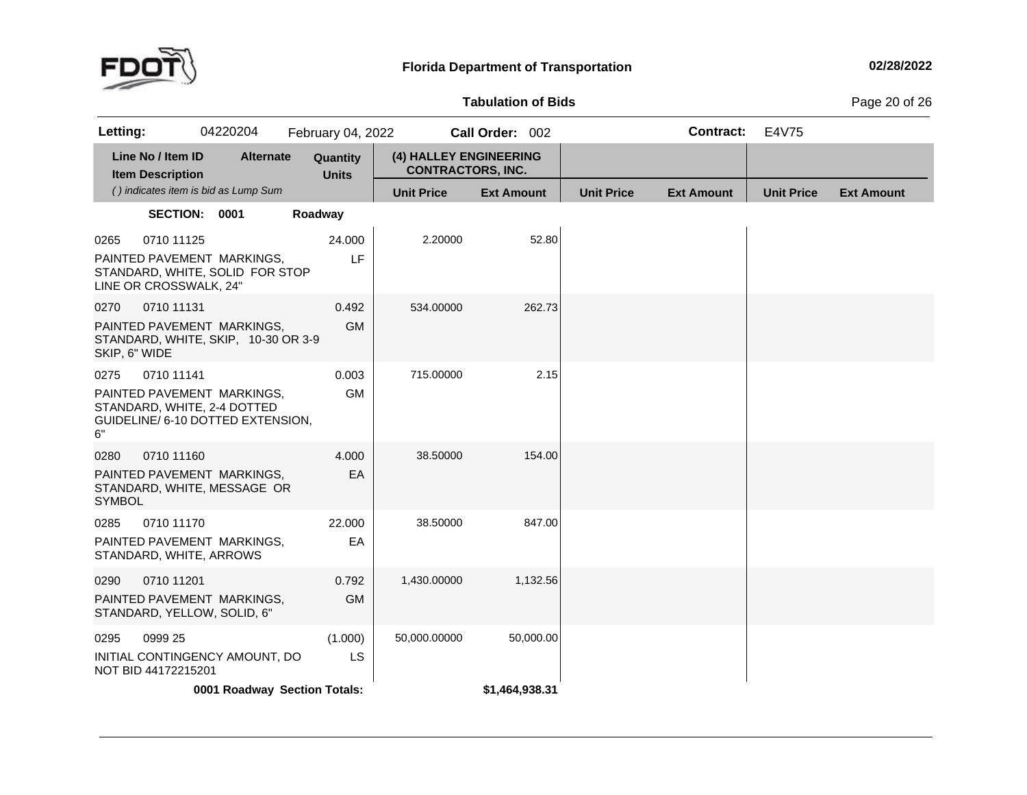

### **Tabulation**

**of Bids** Page <sup>20</sup> of <sup>26</sup>

| Letting:                                                                                                     |                                      | 04220204         | February 04, 2022            |                                                    | Call Order: 002   |                   | <b>Contract:</b>  | E4V75             |                   |
|--------------------------------------------------------------------------------------------------------------|--------------------------------------|------------------|------------------------------|----------------------------------------------------|-------------------|-------------------|-------------------|-------------------|-------------------|
| Line No / Item ID<br><b>Item Description</b>                                                                 |                                      | <b>Alternate</b> | Quantity<br><b>Units</b>     | (4) HALLEY ENGINEERING<br><b>CONTRACTORS, INC.</b> |                   |                   |                   |                   |                   |
|                                                                                                              | () indicates item is bid as Lump Sum |                  |                              | <b>Unit Price</b>                                  | <b>Ext Amount</b> | <b>Unit Price</b> | <b>Ext Amount</b> | <b>Unit Price</b> | <b>Ext Amount</b> |
|                                                                                                              | SECTION: 0001                        |                  | Roadway                      |                                                    |                   |                   |                   |                   |                   |
| 0265<br>PAINTED PAVEMENT MARKINGS,<br>STANDARD, WHITE, SOLID FOR STOP<br>LINE OR CROSSWALK, 24"              | 0710 11125                           |                  | 24.000<br>LF                 | 2.20000                                            | 52.80             |                   |                   |                   |                   |
| 0270<br>PAINTED PAVEMENT MARKINGS,<br>STANDARD, WHITE, SKIP, 10-30 OR 3-9<br>SKIP, 6" WIDE                   | 0710 11131                           |                  | 0.492<br><b>GM</b>           | 534.00000                                          | 262.73            |                   |                   |                   |                   |
| 0275<br>PAINTED PAVEMENT MARKINGS,<br>STANDARD, WHITE, 2-4 DOTTED<br>GUIDELINE/ 6-10 DOTTED EXTENSION,<br>6" | 0710 11141                           |                  | 0.003<br><b>GM</b>           | 715.00000                                          | 2.15              |                   |                   |                   |                   |
| 0280<br>PAINTED PAVEMENT MARKINGS,<br>STANDARD, WHITE, MESSAGE OR<br><b>SYMBOL</b>                           | 0710 11160                           |                  | 4.000<br>EA                  | 38.50000                                           | 154.00            |                   |                   |                   |                   |
| 0285<br>PAINTED PAVEMENT MARKINGS,<br>STANDARD, WHITE, ARROWS                                                | 0710 11170                           |                  | 22.000<br>EA                 | 38.50000                                           | 847.00            |                   |                   |                   |                   |
| 0290<br>PAINTED PAVEMENT MARKINGS,<br>STANDARD, YELLOW, SOLID, 6"                                            | 0710 11201                           |                  | 0.792<br><b>GM</b>           | 1,430.00000                                        | 1,132.56          |                   |                   |                   |                   |
| 0295<br>INITIAL CONTINGENCY AMOUNT, DO<br>NOT BID 44172215201                                                | 0999 25                              |                  | (1.000)<br>LS                | 50,000.00000                                       | 50,000.00         |                   |                   |                   |                   |
|                                                                                                              |                                      |                  | 0001 Roadway Section Totals: |                                                    | \$1,464,938.31    |                   |                   |                   |                   |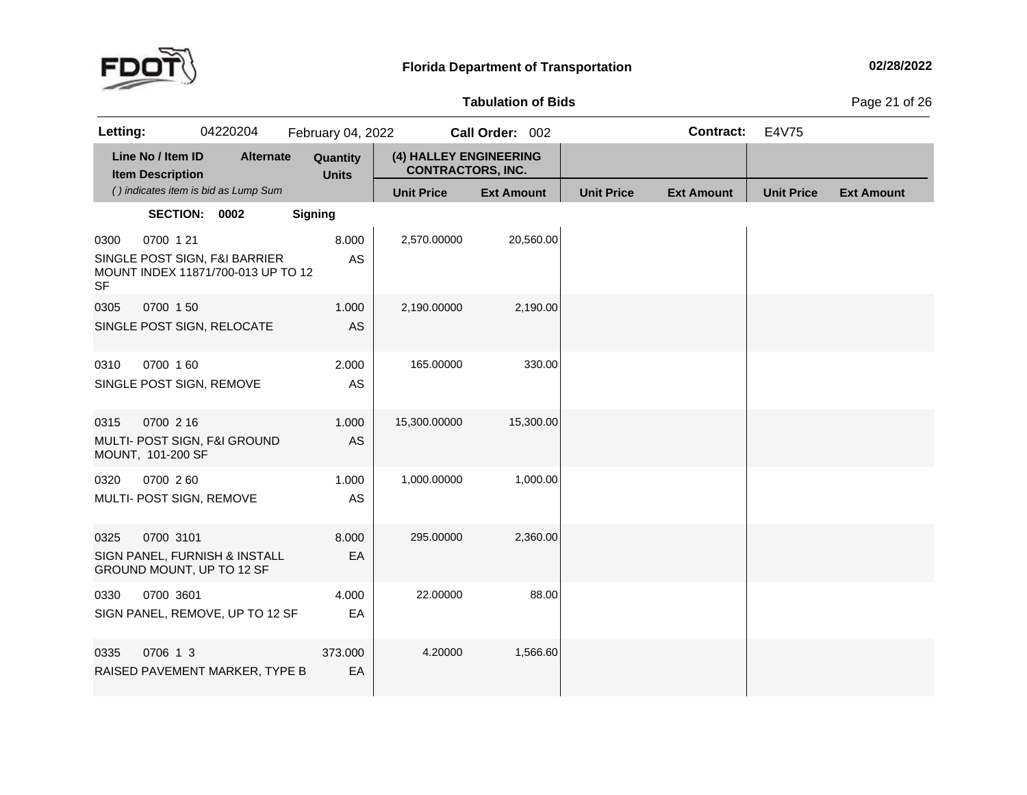

### **Tabulation**

**of Bids** Page <sup>21</sup> of <sup>26</sup>

| Letting:          |                                              | 04220204                                                            | February 04, 2022        |                                                    | Call Order: 002   |                   | <b>Contract:</b>  | E4V75             |                   |
|-------------------|----------------------------------------------|---------------------------------------------------------------------|--------------------------|----------------------------------------------------|-------------------|-------------------|-------------------|-------------------|-------------------|
|                   | Line No / Item ID<br><b>Item Description</b> | <b>Alternate</b>                                                    | Quantity<br><b>Units</b> | (4) HALLEY ENGINEERING<br><b>CONTRACTORS, INC.</b> |                   |                   |                   |                   |                   |
|                   |                                              | () indicates item is bid as Lump Sum                                |                          | <b>Unit Price</b>                                  | <b>Ext Amount</b> | <b>Unit Price</b> | <b>Ext Amount</b> | <b>Unit Price</b> | <b>Ext Amount</b> |
|                   | SECTION: 0002                                |                                                                     | <b>Signing</b>           |                                                    |                   |                   |                   |                   |                   |
| 0300<br><b>SF</b> | 0700 1 21                                    | SINGLE POST SIGN, F&I BARRIER<br>MOUNT INDEX 11871/700-013 UP TO 12 | 8.000<br>AS              | 2,570.00000                                        | 20,560.00         |                   |                   |                   |                   |
| 0305              | 0700 150                                     | SINGLE POST SIGN, RELOCATE                                          | 1.000<br><b>AS</b>       | 2,190.00000                                        | 2,190.00          |                   |                   |                   |                   |
| 0310              | 0700 160<br>SINGLE POST SIGN, REMOVE         |                                                                     | 2.000<br>AS              | 165.00000                                          | 330.00            |                   |                   |                   |                   |
| 0315              | 0700 2 16<br>MOUNT, 101-200 SF               | MULTI- POST SIGN, F&I GROUND                                        | 1.000<br>AS              | 15,300.00000                                       | 15,300.00         |                   |                   |                   |                   |
| 0320              | 0700 260<br>MULTI- POST SIGN, REMOVE         |                                                                     | 1.000<br>AS              | 1,000.00000                                        | 1,000.00          |                   |                   |                   |                   |
| 0325              | 0700 3101                                    | SIGN PANEL, FURNISH & INSTALL<br>GROUND MOUNT, UP TO 12 SF          | 8.000<br>EA              | 295.00000                                          | 2,360.00          |                   |                   |                   |                   |
| 0330              | 0700 3601                                    | SIGN PANEL, REMOVE, UP TO 12 SF                                     | 4.000<br>EA              | 22.00000                                           | 88.00             |                   |                   |                   |                   |
| 0335              | 0706 1 3                                     | RAISED PAVEMENT MARKER, TYPE B                                      | 373.000<br>EA            | 4.20000                                            | 1,566.60          |                   |                   |                   |                   |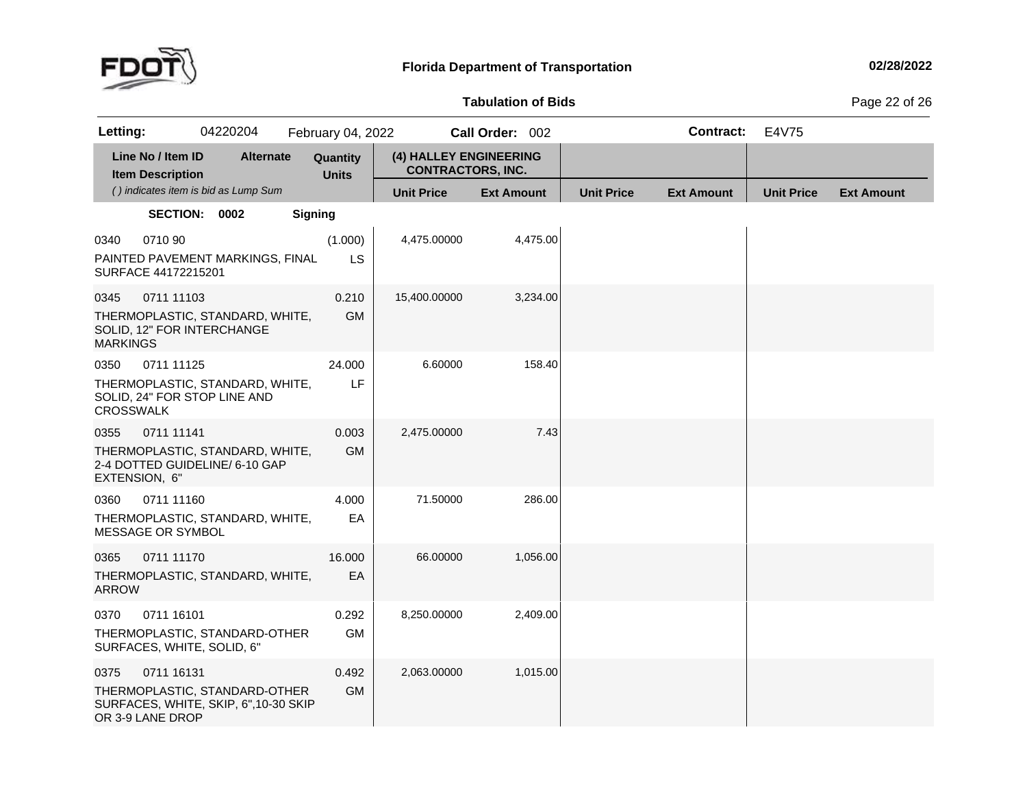

**of Bids** Page <sup>22</sup> of <sup>26</sup>

| Letting:                 |                                              | 04220204                                                              | February 04, 2022        |                                                    | Call Order: 002   |                   | <b>Contract:</b>  | E4V75             |                   |
|--------------------------|----------------------------------------------|-----------------------------------------------------------------------|--------------------------|----------------------------------------------------|-------------------|-------------------|-------------------|-------------------|-------------------|
|                          | Line No / Item ID<br><b>Item Description</b> | <b>Alternate</b>                                                      | Quantity<br><b>Units</b> | (4) HALLEY ENGINEERING<br><b>CONTRACTORS, INC.</b> |                   |                   |                   |                   |                   |
|                          |                                              | () indicates item is bid as Lump Sum                                  |                          | <b>Unit Price</b>                                  | <b>Ext Amount</b> | <b>Unit Price</b> | <b>Ext Amount</b> | <b>Unit Price</b> | <b>Ext Amount</b> |
|                          | SECTION: 0002                                |                                                                       | <b>Signing</b>           |                                                    |                   |                   |                   |                   |                   |
| 0340                     | 0710 90<br>SURFACE 44172215201               | PAINTED PAVEMENT MARKINGS, FINAL                                      | (1.000)<br><b>LS</b>     | 4,475.00000                                        | 4,475.00          |                   |                   |                   |                   |
| 0345<br><b>MARKINGS</b>  | 0711 11103<br>SOLID, 12" FOR INTERCHANGE     | THERMOPLASTIC, STANDARD, WHITE,                                       | 0.210<br><b>GM</b>       | 15,400.00000                                       | 3,234.00          |                   |                   |                   |                   |
| 0350<br><b>CROSSWALK</b> | 0711 11125                                   | THERMOPLASTIC, STANDARD, WHITE,<br>SOLID, 24" FOR STOP LINE AND       | 24.000<br>LF             | 6.60000                                            | 158.40            |                   |                   |                   |                   |
| 0355<br>EXTENSION, 6"    | 0711 11141                                   | THERMOPLASTIC, STANDARD, WHITE,<br>2-4 DOTTED GUIDELINE/ 6-10 GAP     | 0.003<br><b>GM</b>       | 2,475.00000                                        | 7.43              |                   |                   |                   |                   |
| 0360                     | 0711 11160<br>MESSAGE OR SYMBOL              | THERMOPLASTIC, STANDARD, WHITE,                                       | 4.000<br>EA              | 71.50000                                           | 286.00            |                   |                   |                   |                   |
| 0365<br><b>ARROW</b>     | 0711 11170                                   | THERMOPLASTIC, STANDARD, WHITE,                                       | 16.000<br>EA             | 66.00000                                           | 1,056.00          |                   |                   |                   |                   |
| 0370                     | 0711 16101<br>SURFACES, WHITE, SOLID, 6"     | THERMOPLASTIC, STANDARD-OTHER                                         | 0.292<br><b>GM</b>       | 8,250.00000                                        | 2,409.00          |                   |                   |                   |                   |
| 0375                     | 0711 16131<br>OR 3-9 LANE DROP               | THERMOPLASTIC, STANDARD-OTHER<br>SURFACES, WHITE, SKIP, 6",10-30 SKIP | 0.492<br><b>GM</b>       | 2,063.00000                                        | 1,015.00          |                   |                   |                   |                   |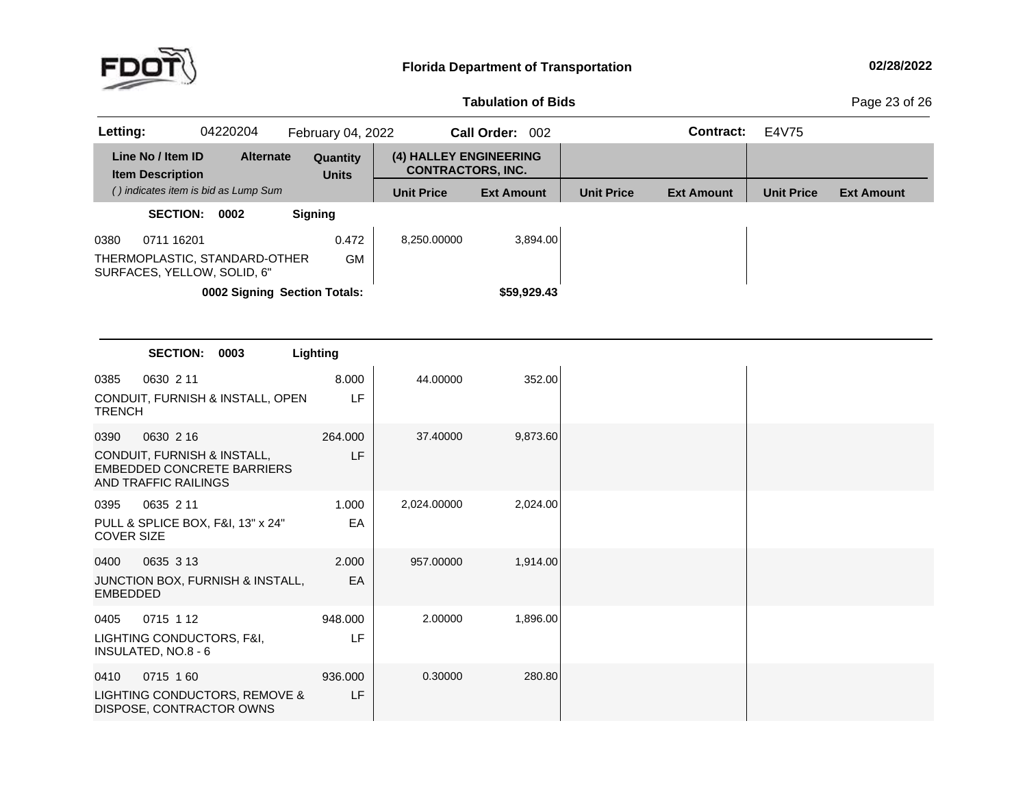

## **Tabulation**

**of Bids** Page <sup>23</sup> of <sup>26</sup>

| 04220204<br>Letting:                                                                     | February 04, 2022        |                                                    | Call Order: 002   |                   | <b>Contract:</b>  | E4V75             |                   |
|------------------------------------------------------------------------------------------|--------------------------|----------------------------------------------------|-------------------|-------------------|-------------------|-------------------|-------------------|
| Line No / Item ID<br><b>Alternate</b><br><b>Item Description</b>                         | Quantity<br><b>Units</b> | (4) HALLEY ENGINEERING<br><b>CONTRACTORS, INC.</b> |                   |                   |                   |                   |                   |
| () indicates item is bid as Lump Sum                                                     |                          | <b>Unit Price</b>                                  | <b>Ext Amount</b> | <b>Unit Price</b> | <b>Ext Amount</b> | <b>Unit Price</b> | <b>Ext Amount</b> |
| SECTION: 0002                                                                            | <b>Signing</b>           |                                                    |                   |                   |                   |                   |                   |
| 0711 16201<br>0380<br>THERMOPLASTIC, STANDARD-OTHER<br>SURFACES, YELLOW, SOLID, 6"       | 0.472<br><b>GM</b>       | 8,250.00000                                        | 3,894.00          |                   |                   |                   |                   |
| 0002 Signing Section Totals:                                                             |                          |                                                    | \$59,929.43       |                   |                   |                   |                   |
|                                                                                          |                          |                                                    |                   |                   |                   |                   |                   |
|                                                                                          |                          |                                                    |                   |                   |                   |                   |                   |
| <b>SECTION:</b><br>0003                                                                  | Lighting                 |                                                    |                   |                   |                   |                   |                   |
| 0630 2 11<br>0385                                                                        | 8.000                    | 44.00000                                           | 352.00            |                   |                   |                   |                   |
| CONDUIT, FURNISH & INSTALL, OPEN<br><b>TRENCH</b>                                        | LF                       |                                                    |                   |                   |                   |                   |                   |
| 0630 2 16<br>0390                                                                        | 264.000                  | 37.40000                                           | 9,873.60          |                   |                   |                   |                   |
| CONDUIT, FURNISH & INSTALL,<br><b>EMBEDDED CONCRETE BARRIERS</b><br>AND TRAFFIC RAILINGS | LF                       |                                                    |                   |                   |                   |                   |                   |
| 0635 2 11<br>0395                                                                        | 1.000                    | 2,024.00000                                        | 2,024.00          |                   |                   |                   |                   |
| PULL & SPLICE BOX, F&I, 13" x 24"<br><b>COVER SIZE</b>                                   | EA                       |                                                    |                   |                   |                   |                   |                   |
| 0635 3 13<br>0400                                                                        | 2.000                    | 957.00000                                          | 1,914.00          |                   |                   |                   |                   |
| JUNCTION BOX, FURNISH & INSTALL,<br><b>EMBEDDED</b>                                      | EA                       |                                                    |                   |                   |                   |                   |                   |
| 0715 1 12<br>0405                                                                        | 948.000                  | 2.00000                                            | 1,896.00          |                   |                   |                   |                   |
| LIGHTING CONDUCTORS, F&I,<br>INSULATED, NO.8 - 6                                         | LF                       |                                                    |                   |                   |                   |                   |                   |
| 0715 160<br>0410                                                                         | 936.000                  | 0.30000                                            | 280.80            |                   |                   |                   |                   |
| LIGHTING CONDUCTORS, REMOVE &<br>DISPOSE, CONTRACTOR OWNS                                | LF                       |                                                    |                   |                   |                   |                   |                   |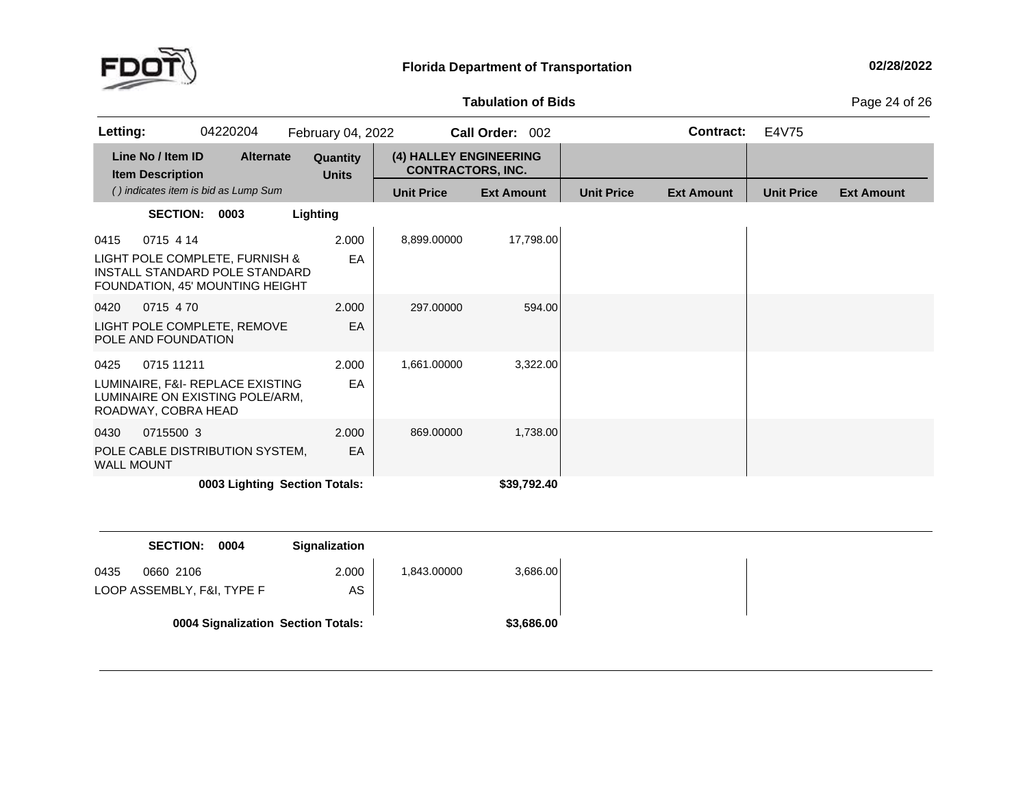

### **Tabulation**

**of Bids** Page <sup>24</sup> of <sup>26</sup>

| Letting:                                                                                                                 | 04220204                             | February 04, 2022        |                                                    | Call Order: 002   |                   | <b>Contract:</b>  | E4V75             |                   |
|--------------------------------------------------------------------------------------------------------------------------|--------------------------------------|--------------------------|----------------------------------------------------|-------------------|-------------------|-------------------|-------------------|-------------------|
| Line No / Item ID<br><b>Item Description</b>                                                                             | <b>Alternate</b>                     | Quantity<br><b>Units</b> | (4) HALLEY ENGINEERING<br><b>CONTRACTORS, INC.</b> |                   |                   |                   |                   |                   |
|                                                                                                                          | () indicates item is bid as Lump Sum |                          | <b>Unit Price</b>                                  | <b>Ext Amount</b> | <b>Unit Price</b> | <b>Ext Amount</b> | <b>Unit Price</b> | <b>Ext Amount</b> |
| <b>SECTION:</b>                                                                                                          | 0003                                 | Lighting                 |                                                    |                   |                   |                   |                   |                   |
| 0715 4 14<br>0415<br>LIGHT POLE COMPLETE, FURNISH &<br>INSTALL STANDARD POLE STANDARD<br>FOUNDATION, 45' MOUNTING HEIGHT |                                      | 2.000<br>EA              | 8,899.00000                                        | 17,798.00         |                   |                   |                   |                   |
| 0715 470<br>0420<br>LIGHT POLE COMPLETE, REMOVE<br>POLE AND FOUNDATION                                                   |                                      | 2.000<br>EA              | 297.00000                                          | 594.00            |                   |                   |                   |                   |
| 0425<br>0715 11211<br>LUMINAIRE, F&I- REPLACE EXISTING<br>LUMINAIRE ON EXISTING POLE/ARM.<br>ROADWAY, COBRA HEAD         |                                      | 2.000<br>EA              | 1,661.00000                                        | 3,322.00          |                   |                   |                   |                   |
| 0715500 3<br>0430<br>POLE CABLE DISTRIBUTION SYSTEM,<br><b>WALL MOUNT</b>                                                |                                      | 2.000<br>EA              | 869,00000                                          | 1,738.00          |                   |                   |                   |                   |
|                                                                                                                          | 0003 Lighting Section Totals:        |                          |                                                    | \$39,792.40       |                   |                   |                   |                   |

|      | <b>SECTION:</b><br>0004                 | <b>Signalization</b> |             |            |
|------|-----------------------------------------|----------------------|-------------|------------|
| 0435 | 0660 2106<br>LOOP ASSEMBLY, F&I, TYPE F | 2.000<br>AS.         | 1,843.00000 | 3,686.00   |
|      | 0004 Signalization Section Totals:      |                      |             | \$3,686.00 |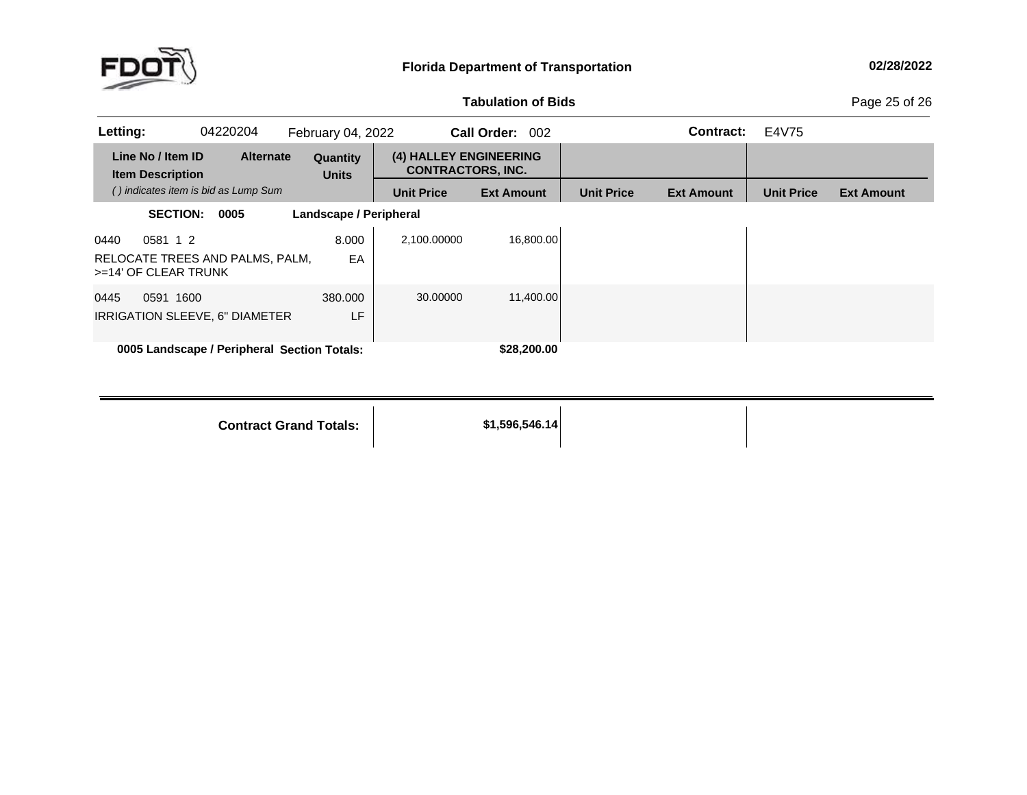

**of Bids** Page <sup>25</sup> of <sup>26</sup>

| Letting:                                                                    | 04220204                                    | February 04, 2022               |                                                    | Call Order: 002   |                   | Contract:         | E4V75             |                   |
|-----------------------------------------------------------------------------|---------------------------------------------|---------------------------------|----------------------------------------------------|-------------------|-------------------|-------------------|-------------------|-------------------|
| Line No / Item ID<br><b>Item Description</b>                                | <b>Alternate</b>                            | <b>Quantity</b><br><b>Units</b> | (4) HALLEY ENGINEERING<br><b>CONTRACTORS. INC.</b> |                   |                   |                   |                   |                   |
|                                                                             | () indicates item is bid as Lump Sum        |                                 | <b>Unit Price</b>                                  | <b>Ext Amount</b> | <b>Unit Price</b> | <b>Ext Amount</b> | <b>Unit Price</b> | <b>Ext Amount</b> |
| <b>SECTION:</b>                                                             | 0005                                        | Landscape / Peripheral          |                                                    |                   |                   |                   |                   |                   |
| 0581 1 2<br>0440<br>RELOCATE TREES AND PALMS, PALM,<br>>=14' OF CLEAR TRUNK |                                             | 8.000<br>EA                     | 2,100.00000                                        | 16.800.00         |                   |                   |                   |                   |
| 0445<br>0591 1600<br>IRRIGATION SLEEVE, 6" DIAMETER                         |                                             | 380,000<br>LF                   | 30.00000                                           | 11,400.00         |                   |                   |                   |                   |
|                                                                             | 0005 Landscape / Peripheral Section Totals: |                                 |                                                    | \$28,200.00       |                   |                   |                   |                   |

**Contract Grand**

**Totals: \$1,596,546.14**